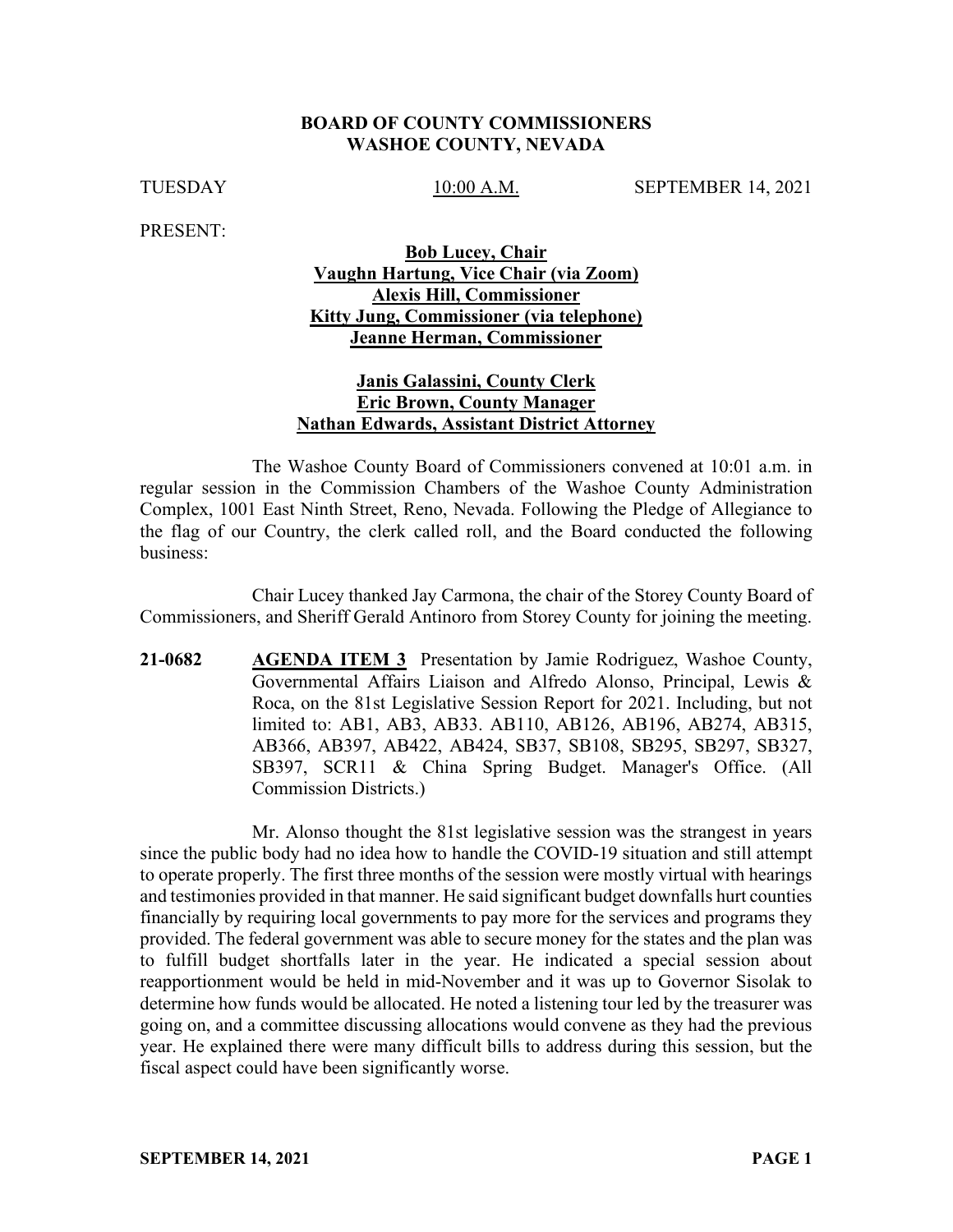#### **BOARD OF COUNTY COMMISSIONERS WASHOE COUNTY, NEVADA**

TUESDAY 10:00 A.M. SEPTEMBER 14, 2021

PRESENT:

### **Bob Lucey, Chair Vaughn Hartung, Vice Chair (via Zoom) Alexis Hill, Commissioner Kitty Jung, Commissioner (via telephone) Jeanne Herman, Commissioner**

### **Janis Galassini, County Clerk Eric Brown, County Manager Nathan Edwards, Assistant District Attorney**

The Washoe County Board of Commissioners convened at 10:01 a.m. in regular session in the Commission Chambers of the Washoe County Administration Complex, 1001 East Ninth Street, Reno, Nevada. Following the Pledge of Allegiance to the flag of our Country, the clerk called roll, and the Board conducted the following business:

Chair Lucey thanked Jay Carmona, the chair of the Storey County Board of Commissioners, and Sheriff Gerald Antinoro from Storey County for joining the meeting.

**21-0682 AGENDA ITEM 3** Presentation by Jamie Rodriguez, Washoe County, Governmental Affairs Liaison and Alfredo Alonso, Principal, Lewis & Roca, on the 81st Legislative Session Report for 2021. Including, but not limited to: AB1, AB3, AB33. AB110, AB126, AB196, AB274, AB315, AB366, AB397, AB422, AB424, SB37, SB108, SB295, SB297, SB327, SB397, SCR11 & China Spring Budget. Manager's Office. (All Commission Districts.)

Mr. Alonso thought the 81st legislative session was the strangest in years since the public body had no idea how to handle the COVID-19 situation and still attempt to operate properly. The first three months of the session were mostly virtual with hearings and testimonies provided in that manner. He said significant budget downfalls hurt counties financially by requiring local governments to pay more for the services and programs they provided. The federal government was able to secure money for the states and the plan was to fulfill budget shortfalls later in the year. He indicated a special session about reapportionment would be held in mid-November and it was up to Governor Sisolak to determine how funds would be allocated. He noted a listening tour led by the treasurer was going on, and a committee discussing allocations would convene as they had the previous year. He explained there were many difficult bills to address during this session, but the fiscal aspect could have been significantly worse.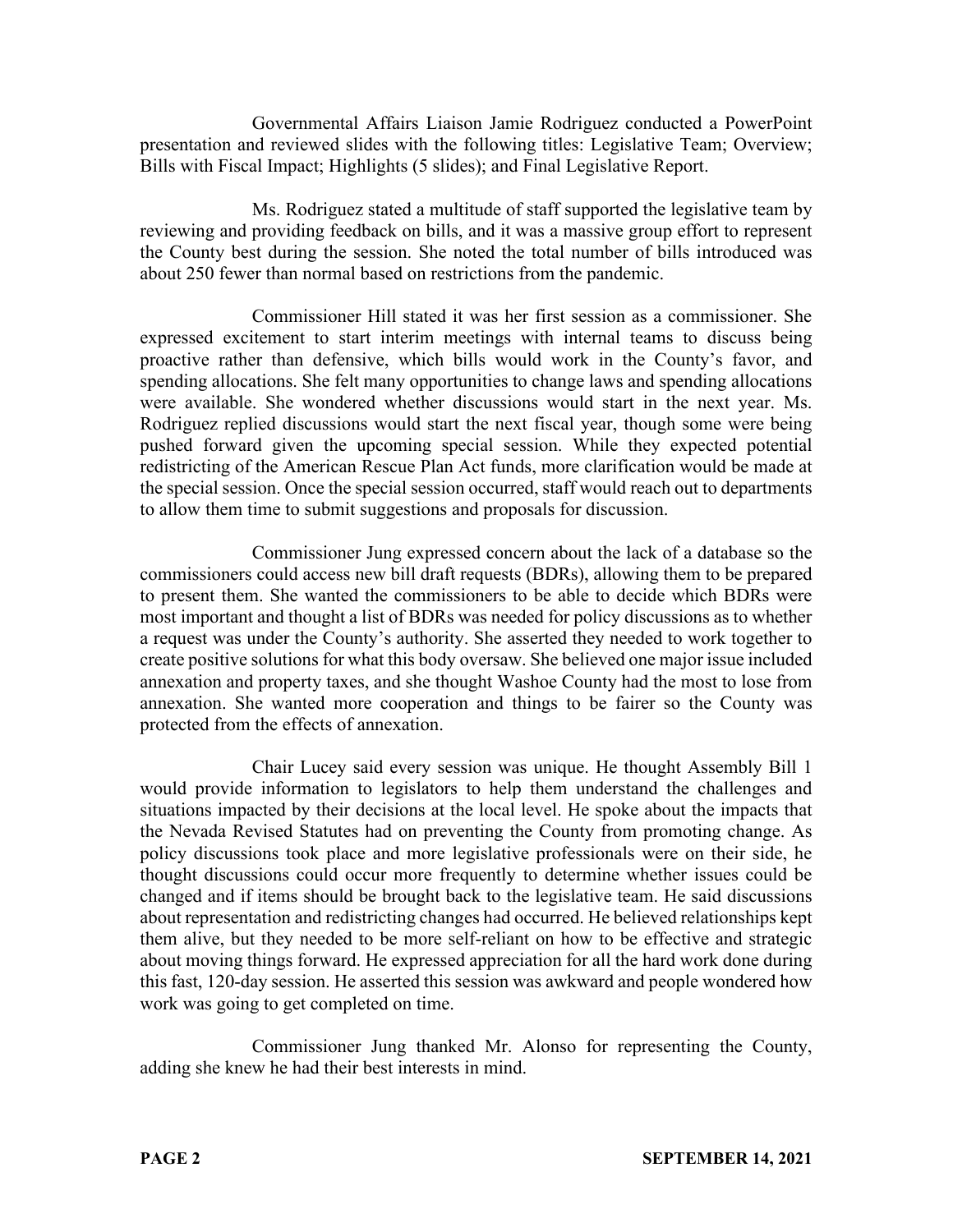Governmental Affairs Liaison Jamie Rodriguez conducted a PowerPoint presentation and reviewed slides with the following titles: Legislative Team; Overview; Bills with Fiscal Impact; Highlights (5 slides); and Final Legislative Report.

Ms. Rodriguez stated a multitude of staff supported the legislative team by reviewing and providing feedback on bills, and it was a massive group effort to represent the County best during the session. She noted the total number of bills introduced was about 250 fewer than normal based on restrictions from the pandemic.

Commissioner Hill stated it was her first session as a commissioner. She expressed excitement to start interim meetings with internal teams to discuss being proactive rather than defensive, which bills would work in the County's favor, and spending allocations. She felt many opportunities to change laws and spending allocations were available. She wondered whether discussions would start in the next year. Ms. Rodriguez replied discussions would start the next fiscal year, though some were being pushed forward given the upcoming special session. While they expected potential redistricting of the American Rescue Plan Act funds, more clarification would be made at the special session. Once the special session occurred, staff would reach out to departments to allow them time to submit suggestions and proposals for discussion.

Commissioner Jung expressed concern about the lack of a database so the commissioners could access new bill draft requests (BDRs), allowing them to be prepared to present them. She wanted the commissioners to be able to decide which BDRs were most important and thought a list of BDRs was needed for policy discussions as to whether a request was under the County's authority. She asserted they needed to work together to create positive solutions for what this body oversaw. She believed one major issue included annexation and property taxes, and she thought Washoe County had the most to lose from annexation. She wanted more cooperation and things to be fairer so the County was protected from the effects of annexation.

Chair Lucey said every session was unique. He thought Assembly Bill 1 would provide information to legislators to help them understand the challenges and situations impacted by their decisions at the local level. He spoke about the impacts that the Nevada Revised Statutes had on preventing the County from promoting change. As policy discussions took place and more legislative professionals were on their side, he thought discussions could occur more frequently to determine whether issues could be changed and if items should be brought back to the legislative team. He said discussions about representation and redistricting changes had occurred. He believed relationships kept them alive, but they needed to be more self-reliant on how to be effective and strategic about moving things forward. He expressed appreciation for all the hard work done during this fast, 120-day session. He asserted this session was awkward and people wondered how work was going to get completed on time.

Commissioner Jung thanked Mr. Alonso for representing the County, adding she knew he had their best interests in mind.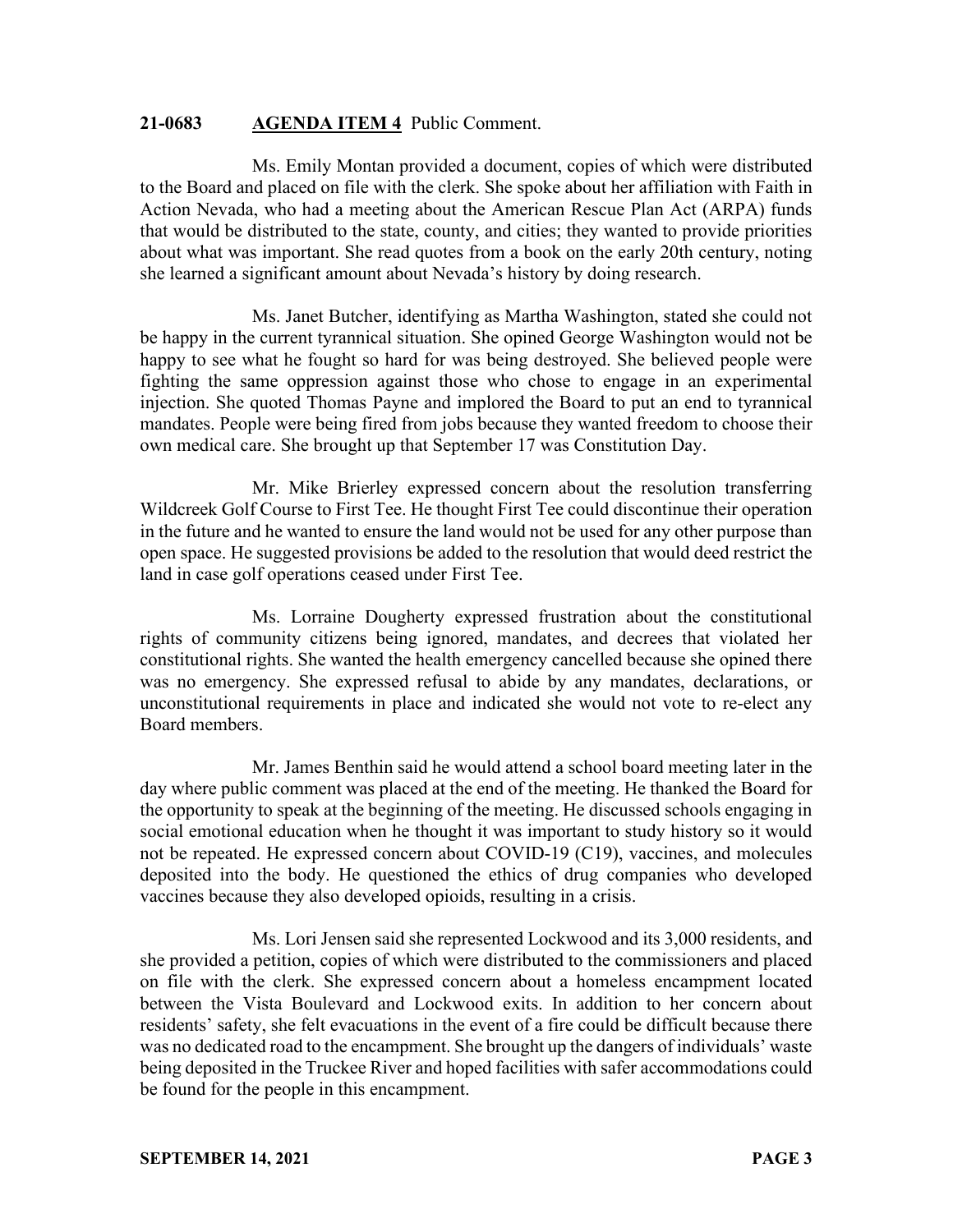#### **21-0683 AGENDA ITEM 4** Public Comment.

Ms. Emily Montan provided a document, copies of which were distributed to the Board and placed on file with the clerk. She spoke about her affiliation with Faith in Action Nevada, who had a meeting about the American Rescue Plan Act (ARPA) funds that would be distributed to the state, county, and cities; they wanted to provide priorities about what was important. She read quotes from a book on the early 20th century, noting she learned a significant amount about Nevada's history by doing research.

Ms. Janet Butcher, identifying as Martha Washington, stated she could not be happy in the current tyrannical situation. She opined George Washington would not be happy to see what he fought so hard for was being destroyed. She believed people were fighting the same oppression against those who chose to engage in an experimental injection. She quoted Thomas Payne and implored the Board to put an end to tyrannical mandates. People were being fired from jobs because they wanted freedom to choose their own medical care. She brought up that September 17 was Constitution Day.

Mr. Mike Brierley expressed concern about the resolution transferring Wildcreek Golf Course to First Tee. He thought First Tee could discontinue their operation in the future and he wanted to ensure the land would not be used for any other purpose than open space. He suggested provisions be added to the resolution that would deed restrict the land in case golf operations ceased under First Tee.

Ms. Lorraine Dougherty expressed frustration about the constitutional rights of community citizens being ignored, mandates, and decrees that violated her constitutional rights. She wanted the health emergency cancelled because she opined there was no emergency. She expressed refusal to abide by any mandates, declarations, or unconstitutional requirements in place and indicated she would not vote to re-elect any Board members.

Mr. James Benthin said he would attend a school board meeting later in the day where public comment was placed at the end of the meeting. He thanked the Board for the opportunity to speak at the beginning of the meeting. He discussed schools engaging in social emotional education when he thought it was important to study history so it would not be repeated. He expressed concern about COVID-19 (C19), vaccines, and molecules deposited into the body. He questioned the ethics of drug companies who developed vaccines because they also developed opioids, resulting in a crisis.

Ms. Lori Jensen said she represented Lockwood and its 3,000 residents, and she provided a petition, copies of which were distributed to the commissioners and placed on file with the clerk. She expressed concern about a homeless encampment located between the Vista Boulevard and Lockwood exits. In addition to her concern about residents' safety, she felt evacuations in the event of a fire could be difficult because there was no dedicated road to the encampment. She brought up the dangers of individuals' waste being deposited in the Truckee River and hoped facilities with safer accommodations could be found for the people in this encampment.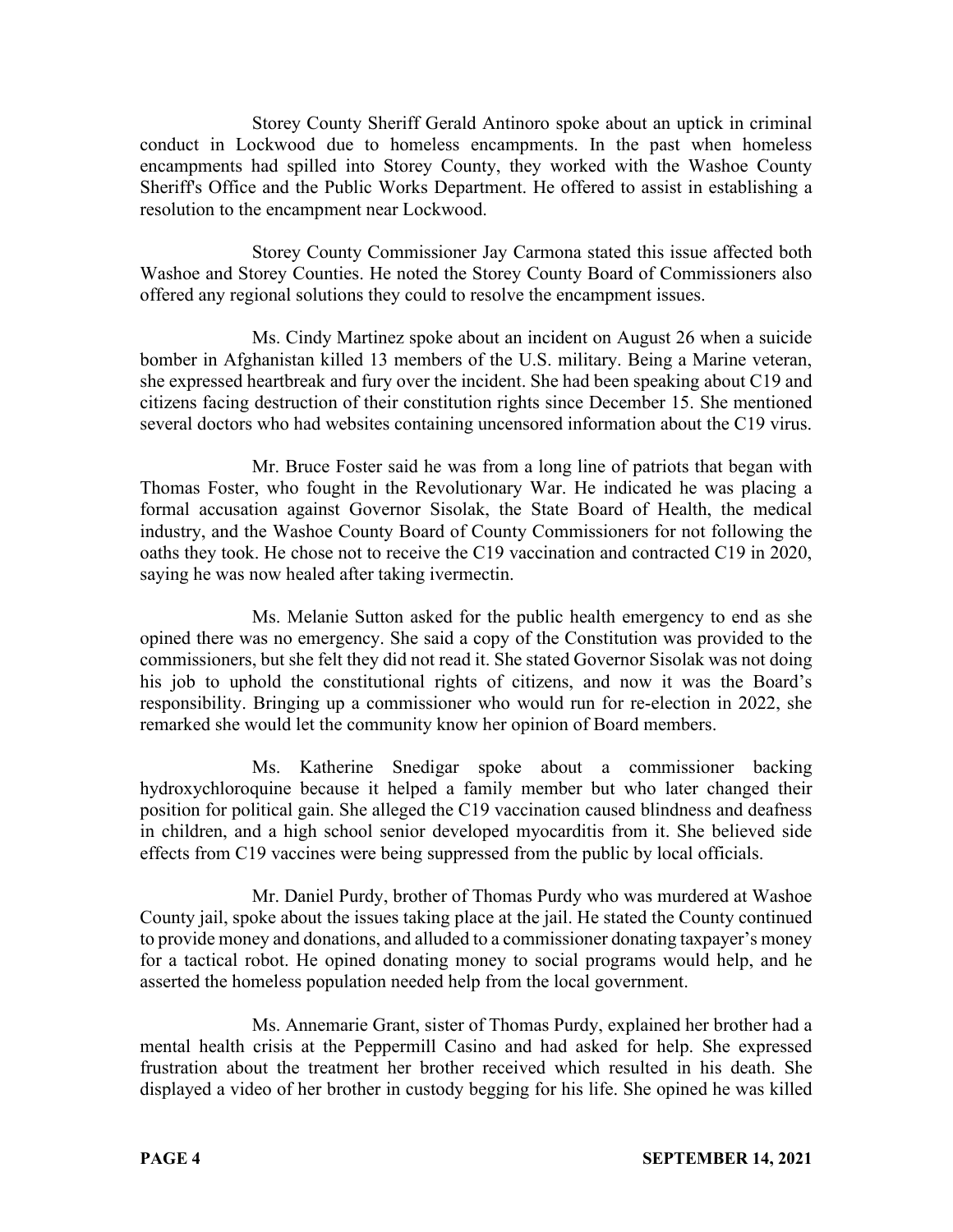Storey County Sheriff Gerald Antinoro spoke about an uptick in criminal conduct in Lockwood due to homeless encampments. In the past when homeless encampments had spilled into Storey County, they worked with the Washoe County Sheriff's Office and the Public Works Department. He offered to assist in establishing a resolution to the encampment near Lockwood.

Storey County Commissioner Jay Carmona stated this issue affected both Washoe and Storey Counties. He noted the Storey County Board of Commissioners also offered any regional solutions they could to resolve the encampment issues.

Ms. Cindy Martinez spoke about an incident on August 26 when a suicide bomber in Afghanistan killed 13 members of the U.S. military. Being a Marine veteran, she expressed heartbreak and fury over the incident. She had been speaking about C19 and citizens facing destruction of their constitution rights since December 15. She mentioned several doctors who had websites containing uncensored information about the C19 virus.

Mr. Bruce Foster said he was from a long line of patriots that began with Thomas Foster, who fought in the Revolutionary War. He indicated he was placing a formal accusation against Governor Sisolak, the State Board of Health, the medical industry, and the Washoe County Board of County Commissioners for not following the oaths they took. He chose not to receive the C19 vaccination and contracted C19 in 2020, saying he was now healed after taking ivermectin.

Ms. Melanie Sutton asked for the public health emergency to end as she opined there was no emergency. She said a copy of the Constitution was provided to the commissioners, but she felt they did not read it. She stated Governor Sisolak was not doing his job to uphold the constitutional rights of citizens, and now it was the Board's responsibility. Bringing up a commissioner who would run for re-election in 2022, she remarked she would let the community know her opinion of Board members.

Ms. Katherine Snedigar spoke about a commissioner backing hydroxychloroquine because it helped a family member but who later changed their position for political gain. She alleged the C19 vaccination caused blindness and deafness in children, and a high school senior developed myocarditis from it. She believed side effects from C19 vaccines were being suppressed from the public by local officials.

Mr. Daniel Purdy, brother of Thomas Purdy who was murdered at Washoe County jail, spoke about the issues taking place at the jail. He stated the County continued to provide money and donations, and alluded to a commissioner donating taxpayer's money for a tactical robot. He opined donating money to social programs would help, and he asserted the homeless population needed help from the local government.

Ms. Annemarie Grant, sister of Thomas Purdy, explained her brother had a mental health crisis at the Peppermill Casino and had asked for help. She expressed frustration about the treatment her brother received which resulted in his death. She displayed a video of her brother in custody begging for his life. She opined he was killed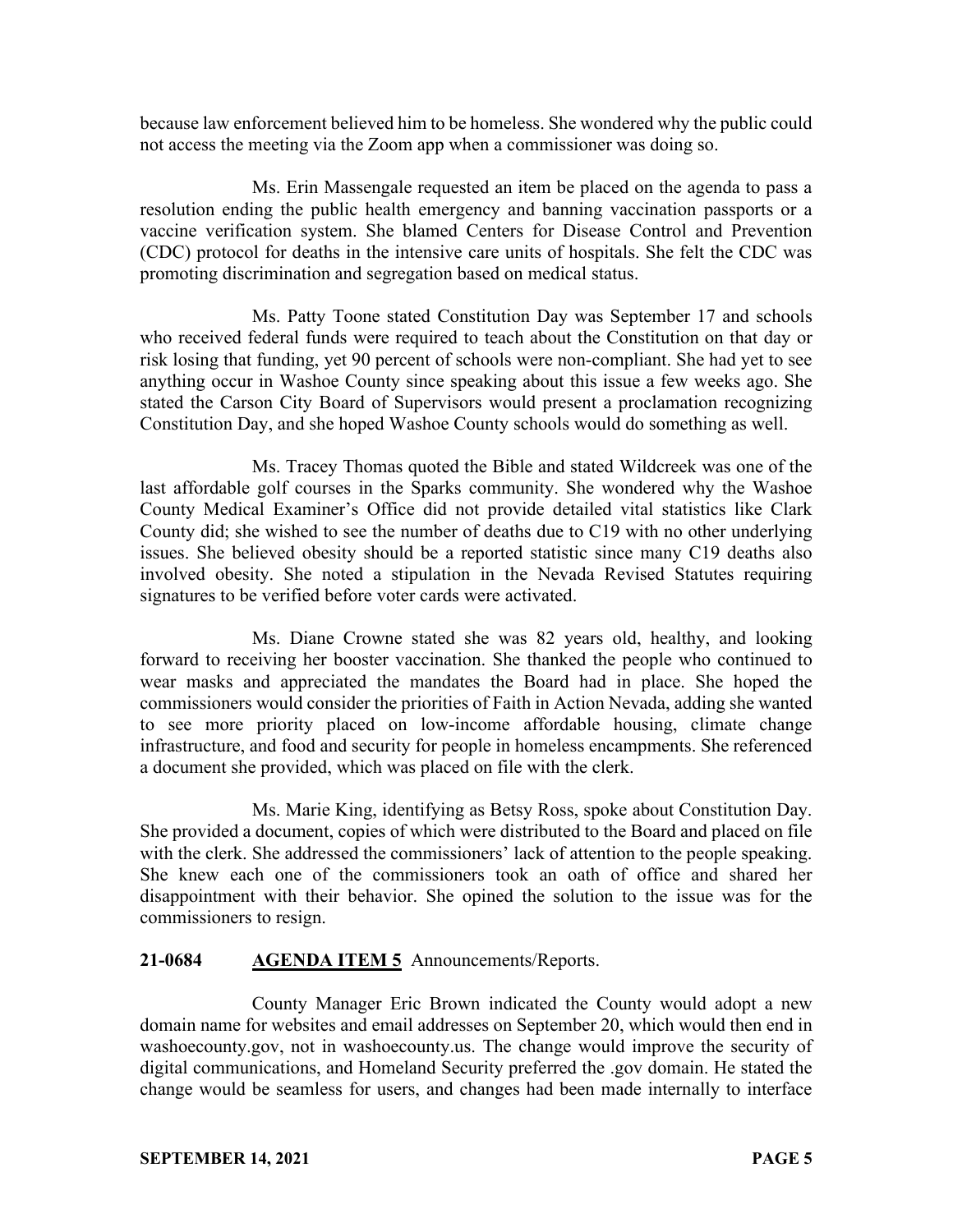because law enforcement believed him to be homeless. She wondered why the public could not access the meeting via the Zoom app when a commissioner was doing so.

Ms. Erin Massengale requested an item be placed on the agenda to pass a resolution ending the public health emergency and banning vaccination passports or a vaccine verification system. She blamed Centers for Disease Control and Prevention (CDC) protocol for deaths in the intensive care units of hospitals. She felt the CDC was promoting discrimination and segregation based on medical status.

Ms. Patty Toone stated Constitution Day was September 17 and schools who received federal funds were required to teach about the Constitution on that day or risk losing that funding, yet 90 percent of schools were non-compliant. She had yet to see anything occur in Washoe County since speaking about this issue a few weeks ago. She stated the Carson City Board of Supervisors would present a proclamation recognizing Constitution Day, and she hoped Washoe County schools would do something as well.

Ms. Tracey Thomas quoted the Bible and stated Wildcreek was one of the last affordable golf courses in the Sparks community. She wondered why the Washoe County Medical Examiner's Office did not provide detailed vital statistics like Clark County did; she wished to see the number of deaths due to C19 with no other underlying issues. She believed obesity should be a reported statistic since many C19 deaths also involved obesity. She noted a stipulation in the Nevada Revised Statutes requiring signatures to be verified before voter cards were activated.

Ms. Diane Crowne stated she was 82 years old, healthy, and looking forward to receiving her booster vaccination. She thanked the people who continued to wear masks and appreciated the mandates the Board had in place. She hoped the commissioners would consider the priorities of Faith in Action Nevada, adding she wanted to see more priority placed on low-income affordable housing, climate change infrastructure, and food and security for people in homeless encampments. She referenced a document she provided, which was placed on file with the clerk.

Ms. Marie King, identifying as Betsy Ross, spoke about Constitution Day. She provided a document, copies of which were distributed to the Board and placed on file with the clerk. She addressed the commissioners' lack of attention to the people speaking. She knew each one of the commissioners took an oath of office and shared her disappointment with their behavior. She opined the solution to the issue was for the commissioners to resign.

### **21-0684 AGENDA ITEM 5** Announcements/Reports.

County Manager Eric Brown indicated the County would adopt a new domain name for websites and email addresses on September 20, which would then end in washoecounty.gov, not in washoecounty.us. The change would improve the security of digital communications, and Homeland Security preferred the .gov domain. He stated the change would be seamless for users, and changes had been made internally to interface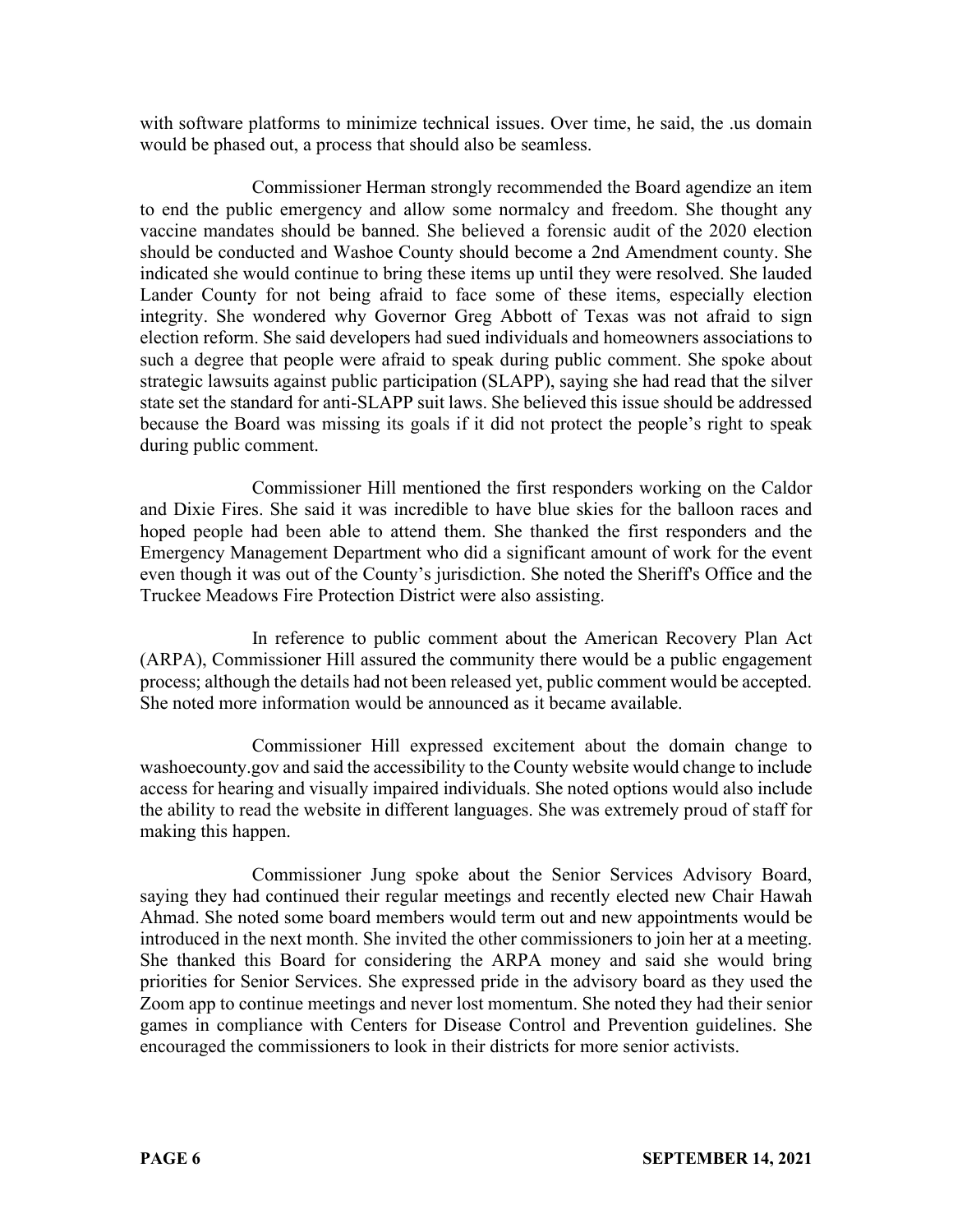with software platforms to minimize technical issues. Over time, he said, the .us domain would be phased out, a process that should also be seamless.

Commissioner Herman strongly recommended the Board agendize an item to end the public emergency and allow some normalcy and freedom. She thought any vaccine mandates should be banned. She believed a forensic audit of the 2020 election should be conducted and Washoe County should become a 2nd Amendment county. She indicated she would continue to bring these items up until they were resolved. She lauded Lander County for not being afraid to face some of these items, especially election integrity. She wondered why Governor Greg Abbott of Texas was not afraid to sign election reform. She said developers had sued individuals and homeowners associations to such a degree that people were afraid to speak during public comment. She spoke about strategic lawsuits against public participation (SLAPP), saying she had read that the silver state set the standard for anti-SLAPP suit laws. She believed this issue should be addressed because the Board was missing its goals if it did not protect the people's right to speak during public comment.

Commissioner Hill mentioned the first responders working on the Caldor and Dixie Fires. She said it was incredible to have blue skies for the balloon races and hoped people had been able to attend them. She thanked the first responders and the Emergency Management Department who did a significant amount of work for the event even though it was out of the County's jurisdiction. She noted the Sheriff's Office and the Truckee Meadows Fire Protection District were also assisting.

In reference to public comment about the American Recovery Plan Act (ARPA), Commissioner Hill assured the community there would be a public engagement process; although the details had not been released yet, public comment would be accepted. She noted more information would be announced as it became available.

Commissioner Hill expressed excitement about the domain change to washoecounty.gov and said the accessibility to the County website would change to include access for hearing and visually impaired individuals. She noted options would also include the ability to read the website in different languages. She was extremely proud of staff for making this happen.

Commissioner Jung spoke about the Senior Services Advisory Board, saying they had continued their regular meetings and recently elected new Chair Hawah Ahmad. She noted some board members would term out and new appointments would be introduced in the next month. She invited the other commissioners to join her at a meeting. She thanked this Board for considering the ARPA money and said she would bring priorities for Senior Services. She expressed pride in the advisory board as they used the Zoom app to continue meetings and never lost momentum. She noted they had their senior games in compliance with Centers for Disease Control and Prevention guidelines. She encouraged the commissioners to look in their districts for more senior activists.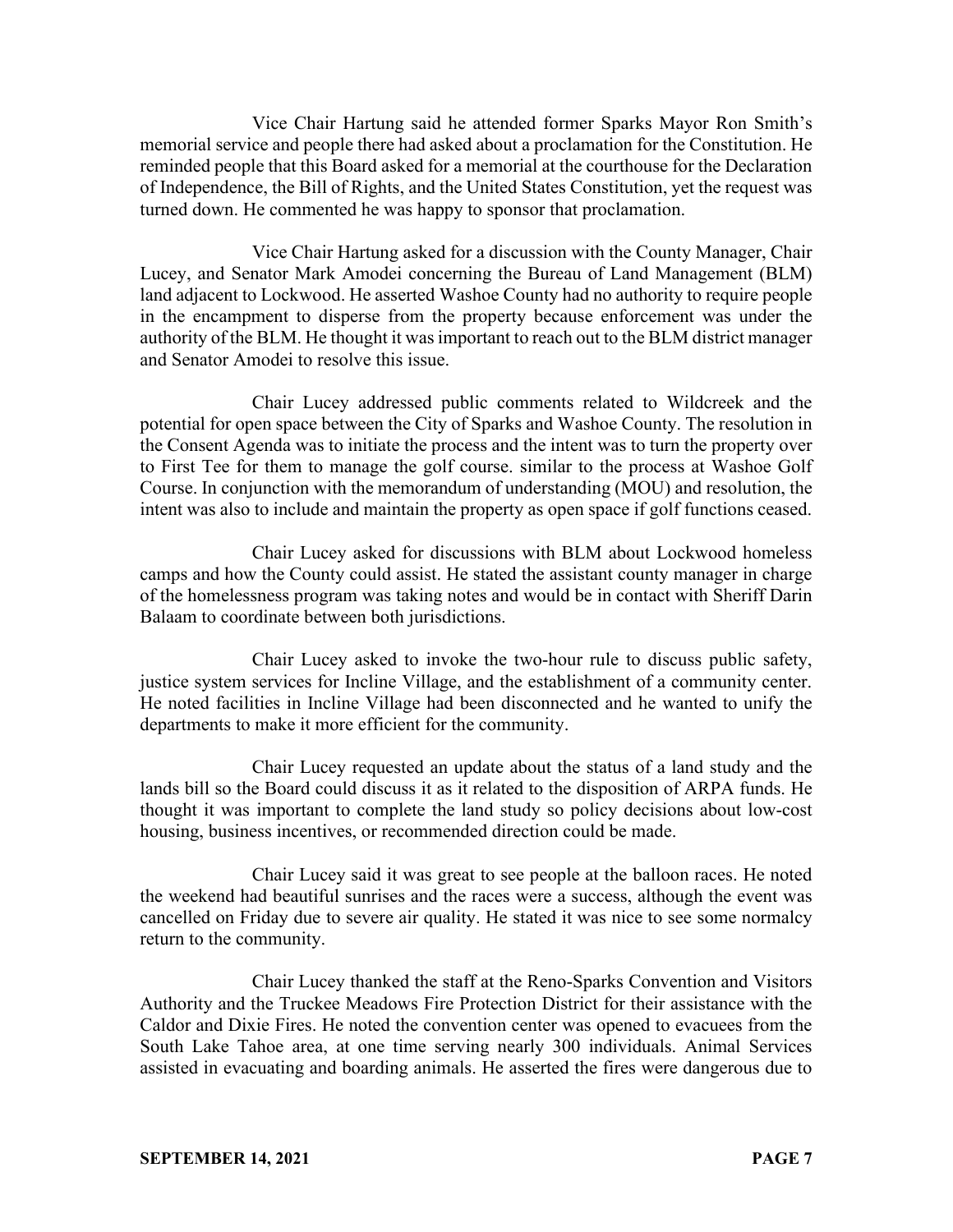Vice Chair Hartung said he attended former Sparks Mayor Ron Smith's memorial service and people there had asked about a proclamation for the Constitution. He reminded people that this Board asked for a memorial at the courthouse for the Declaration of Independence, the Bill of Rights, and the United States Constitution, yet the request was turned down. He commented he was happy to sponsor that proclamation.

Vice Chair Hartung asked for a discussion with the County Manager, Chair Lucey, and Senator Mark Amodei concerning the Bureau of Land Management (BLM) land adjacent to Lockwood. He asserted Washoe County had no authority to require people in the encampment to disperse from the property because enforcement was under the authority of the BLM. He thought it was important to reach out to the BLM district manager and Senator Amodei to resolve this issue.

Chair Lucey addressed public comments related to Wildcreek and the potential for open space between the City of Sparks and Washoe County. The resolution in the Consent Agenda was to initiate the process and the intent was to turn the property over to First Tee for them to manage the golf course. similar to the process at Washoe Golf Course. In conjunction with the memorandum of understanding (MOU) and resolution, the intent was also to include and maintain the property as open space if golf functions ceased.

Chair Lucey asked for discussions with BLM about Lockwood homeless camps and how the County could assist. He stated the assistant county manager in charge of the homelessness program was taking notes and would be in contact with Sheriff Darin Balaam to coordinate between both jurisdictions.

Chair Lucey asked to invoke the two-hour rule to discuss public safety, justice system services for Incline Village, and the establishment of a community center. He noted facilities in Incline Village had been disconnected and he wanted to unify the departments to make it more efficient for the community.

Chair Lucey requested an update about the status of a land study and the lands bill so the Board could discuss it as it related to the disposition of ARPA funds. He thought it was important to complete the land study so policy decisions about low-cost housing, business incentives, or recommended direction could be made.

Chair Lucey said it was great to see people at the balloon races. He noted the weekend had beautiful sunrises and the races were a success, although the event was cancelled on Friday due to severe air quality. He stated it was nice to see some normalcy return to the community.

Chair Lucey thanked the staff at the Reno-Sparks Convention and Visitors Authority and the Truckee Meadows Fire Protection District for their assistance with the Caldor and Dixie Fires. He noted the convention center was opened to evacuees from the South Lake Tahoe area, at one time serving nearly 300 individuals. Animal Services assisted in evacuating and boarding animals. He asserted the fires were dangerous due to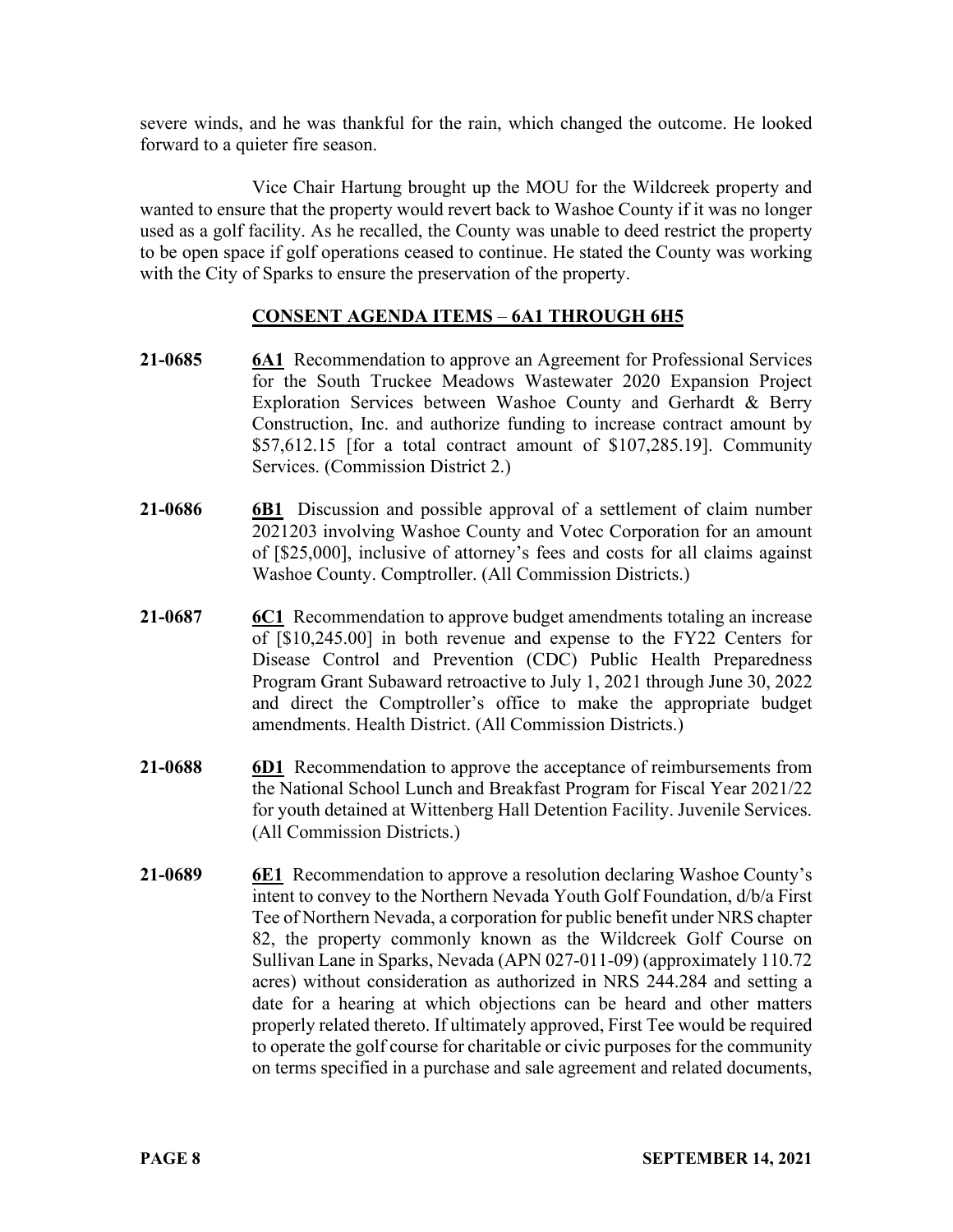severe winds, and he was thankful for the rain, which changed the outcome. He looked forward to a quieter fire season.

Vice Chair Hartung brought up the MOU for the Wildcreek property and wanted to ensure that the property would revert back to Washoe County if it was no longer used as a golf facility. As he recalled, the County was unable to deed restrict the property to be open space if golf operations ceased to continue. He stated the County was working with the City of Sparks to ensure the preservation of the property.

# **CONSENT AGENDA ITEMS** – **6A1 THROUGH 6H5**

- **21-0685 6A1** Recommendation to approve an Agreement for Professional Services for the South Truckee Meadows Wastewater 2020 Expansion Project Exploration Services between Washoe County and Gerhardt & Berry Construction, Inc. and authorize funding to increase contract amount by \$57,612.15 [for a total contract amount of \$107,285.19]. Community Services. (Commission District 2.)
- **21-0686 6B1** Discussion and possible approval of a settlement of claim number 2021203 involving Washoe County and Votec Corporation for an amount of [\$25,000], inclusive of attorney's fees and costs for all claims against Washoe County. Comptroller. (All Commission Districts.)
- **21-0687 6C1** Recommendation to approve budget amendments totaling an increase of [\$10,245.00] in both revenue and expense to the FY22 Centers for Disease Control and Prevention (CDC) Public Health Preparedness Program Grant Subaward retroactive to July 1, 2021 through June 30, 2022 and direct the Comptroller's office to make the appropriate budget amendments. Health District. (All Commission Districts.)
- **21-0688 6D1** Recommendation to approve the acceptance of reimbursements from the National School Lunch and Breakfast Program for Fiscal Year 2021/22 for youth detained at Wittenberg Hall Detention Facility. Juvenile Services. (All Commission Districts.)
- **21-0689 6E1** Recommendation to approve a resolution declaring Washoe County's intent to convey to the Northern Nevada Youth Golf Foundation, d/b/a First Tee of Northern Nevada, a corporation for public benefit under NRS chapter 82, the property commonly known as the Wildcreek Golf Course on Sullivan Lane in Sparks, Nevada (APN 027-011-09) (approximately 110.72 acres) without consideration as authorized in NRS 244.284 and setting a date for a hearing at which objections can be heard and other matters properly related thereto. If ultimately approved, First Tee would be required to operate the golf course for charitable or civic purposes for the community on terms specified in a purchase and sale agreement and related documents,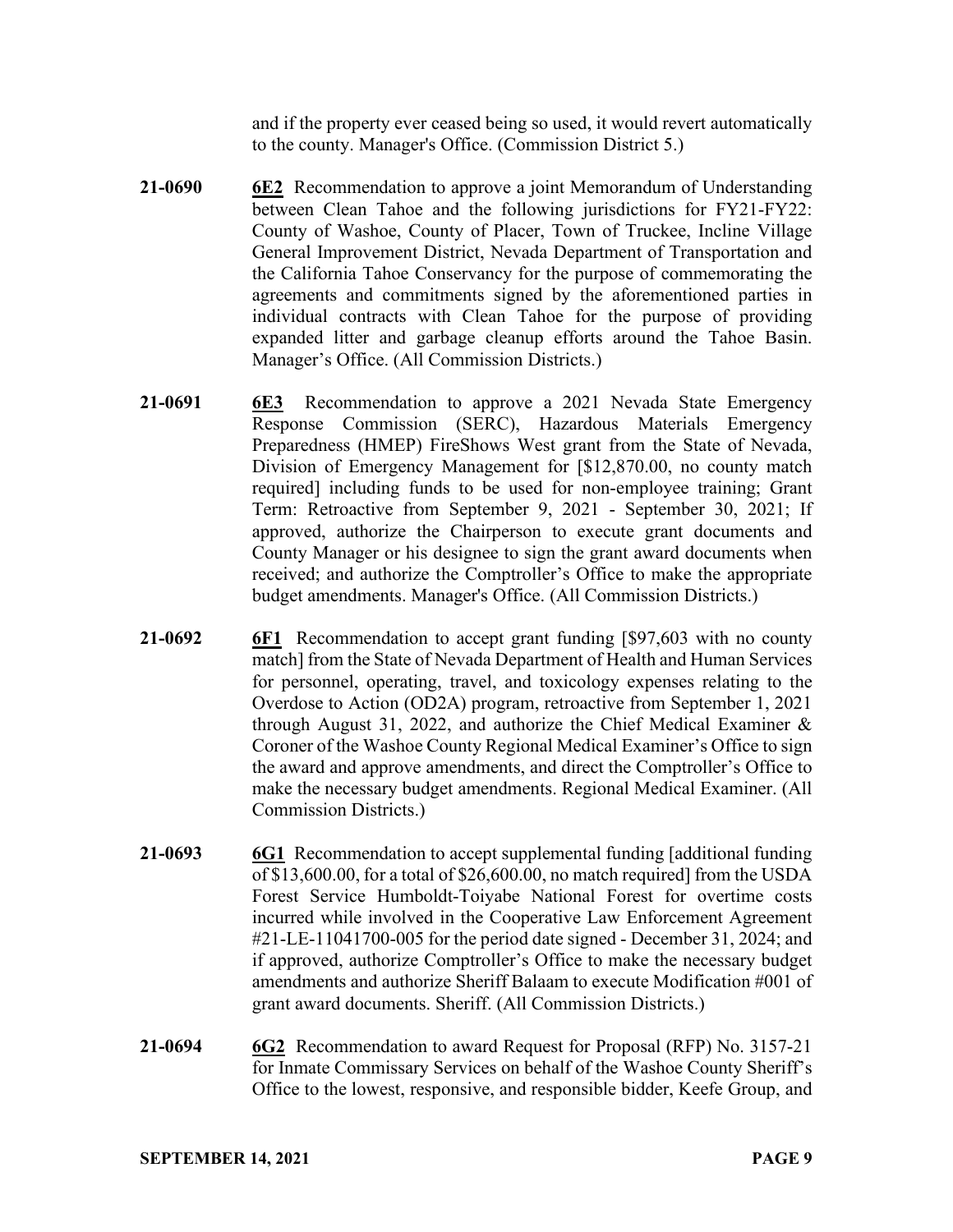and if the property ever ceased being so used, it would revert automatically to the county. Manager's Office. (Commission District 5.)

- **21-0690 6E2** Recommendation to approve a joint Memorandum of Understanding between Clean Tahoe and the following jurisdictions for FY21-FY22: County of Washoe, County of Placer, Town of Truckee, Incline Village General Improvement District, Nevada Department of Transportation and the California Tahoe Conservancy for the purpose of commemorating the agreements and commitments signed by the aforementioned parties in individual contracts with Clean Tahoe for the purpose of providing expanded litter and garbage cleanup efforts around the Tahoe Basin. Manager's Office. (All Commission Districts.)
- **21-0691 6E3** Recommendation to approve a 2021 Nevada State Emergency Response Commission (SERC), Hazardous Materials Emergency Preparedness (HMEP) FireShows West grant from the State of Nevada, Division of Emergency Management for [\$12,870.00, no county match required] including funds to be used for non-employee training; Grant Term: Retroactive from September 9, 2021 - September 30, 2021; If approved, authorize the Chairperson to execute grant documents and County Manager or his designee to sign the grant award documents when received; and authorize the Comptroller's Office to make the appropriate budget amendments. Manager's Office. (All Commission Districts.)
- **21-0692 6F1** Recommendation to accept grant funding [\$97,603 with no county match] from the State of Nevada Department of Health and Human Services for personnel, operating, travel, and toxicology expenses relating to the Overdose to Action (OD2A) program, retroactive from September 1, 2021 through August 31, 2022, and authorize the Chief Medical Examiner & Coroner of the Washoe County Regional Medical Examiner's Office to sign the award and approve amendments, and direct the Comptroller's Office to make the necessary budget amendments. Regional Medical Examiner. (All Commission Districts.)
- **21-0693 6G1** Recommendation to accept supplemental funding [additional funding of \$13,600.00, for a total of \$26,600.00, no match required] from the USDA Forest Service Humboldt-Toiyabe National Forest for overtime costs incurred while involved in the Cooperative Law Enforcement Agreement #21-LE-11041700-005 for the period date signed - December 31, 2024; and if approved, authorize Comptroller's Office to make the necessary budget amendments and authorize Sheriff Balaam to execute Modification #001 of grant award documents. Sheriff. (All Commission Districts.)
- **21-0694 6G2** Recommendation to award Request for Proposal (RFP) No. 3157-21 for Inmate Commissary Services on behalf of the Washoe County Sheriff's Office to the lowest, responsive, and responsible bidder, Keefe Group, and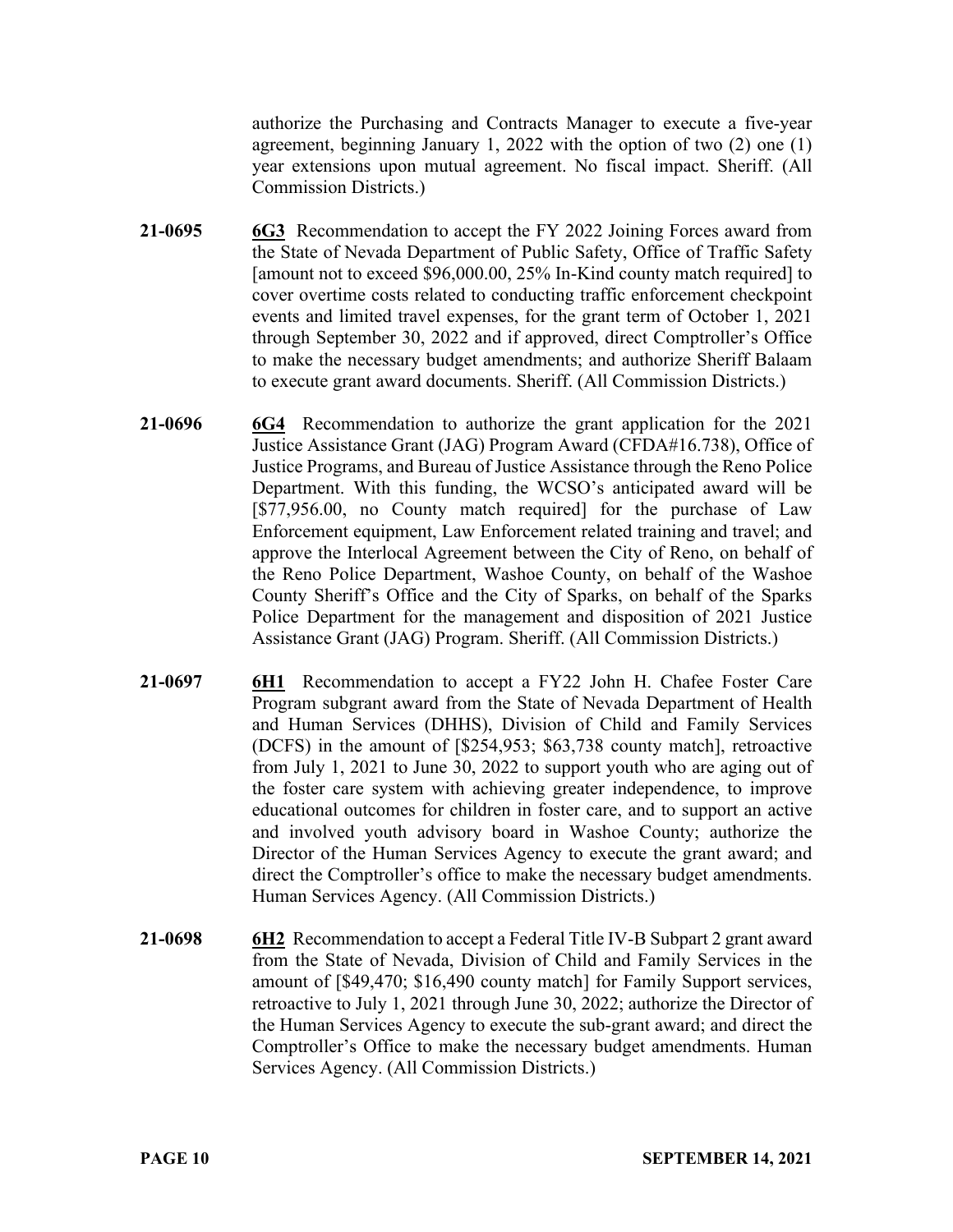authorize the Purchasing and Contracts Manager to execute a five-year agreement, beginning January 1, 2022 with the option of two (2) one (1) year extensions upon mutual agreement. No fiscal impact. Sheriff. (All Commission Districts.)

- **21-0695 6G3** Recommendation to accept the FY 2022 Joining Forces award from the State of Nevada Department of Public Safety, Office of Traffic Safety [amount not to exceed \$96,000.00, 25% In-Kind county match required] to cover overtime costs related to conducting traffic enforcement checkpoint events and limited travel expenses, for the grant term of October 1, 2021 through September 30, 2022 and if approved, direct Comptroller's Office to make the necessary budget amendments; and authorize Sheriff Balaam to execute grant award documents. Sheriff. (All Commission Districts.)
- **21-0696 6G4** Recommendation to authorize the grant application for the 2021 Justice Assistance Grant (JAG) Program Award (CFDA#16.738), Office of Justice Programs, and Bureau of Justice Assistance through the Reno Police Department. With this funding, the WCSO's anticipated award will be [\$77,956.00, no County match required] for the purchase of Law Enforcement equipment, Law Enforcement related training and travel; and approve the Interlocal Agreement between the City of Reno, on behalf of the Reno Police Department, Washoe County, on behalf of the Washoe County Sheriff's Office and the City of Sparks, on behalf of the Sparks Police Department for the management and disposition of 2021 Justice Assistance Grant (JAG) Program. Sheriff. (All Commission Districts.)
- **21-0697 6H1** Recommendation to accept a FY22 John H. Chafee Foster Care Program subgrant award from the State of Nevada Department of Health and Human Services (DHHS), Division of Child and Family Services (DCFS) in the amount of [\$254,953; \$63,738 county match], retroactive from July 1, 2021 to June 30, 2022 to support youth who are aging out of the foster care system with achieving greater independence, to improve educational outcomes for children in foster care, and to support an active and involved youth advisory board in Washoe County; authorize the Director of the Human Services Agency to execute the grant award; and direct the Comptroller's office to make the necessary budget amendments. Human Services Agency. (All Commission Districts.)
- **21-0698 6H2** Recommendation to accept a Federal Title IV-B Subpart 2 grant award from the State of Nevada, Division of Child and Family Services in the amount of [\$49,470; \$16,490 county match] for Family Support services, retroactive to July 1, 2021 through June 30, 2022; authorize the Director of the Human Services Agency to execute the sub-grant award; and direct the Comptroller's Office to make the necessary budget amendments. Human Services Agency. (All Commission Districts.)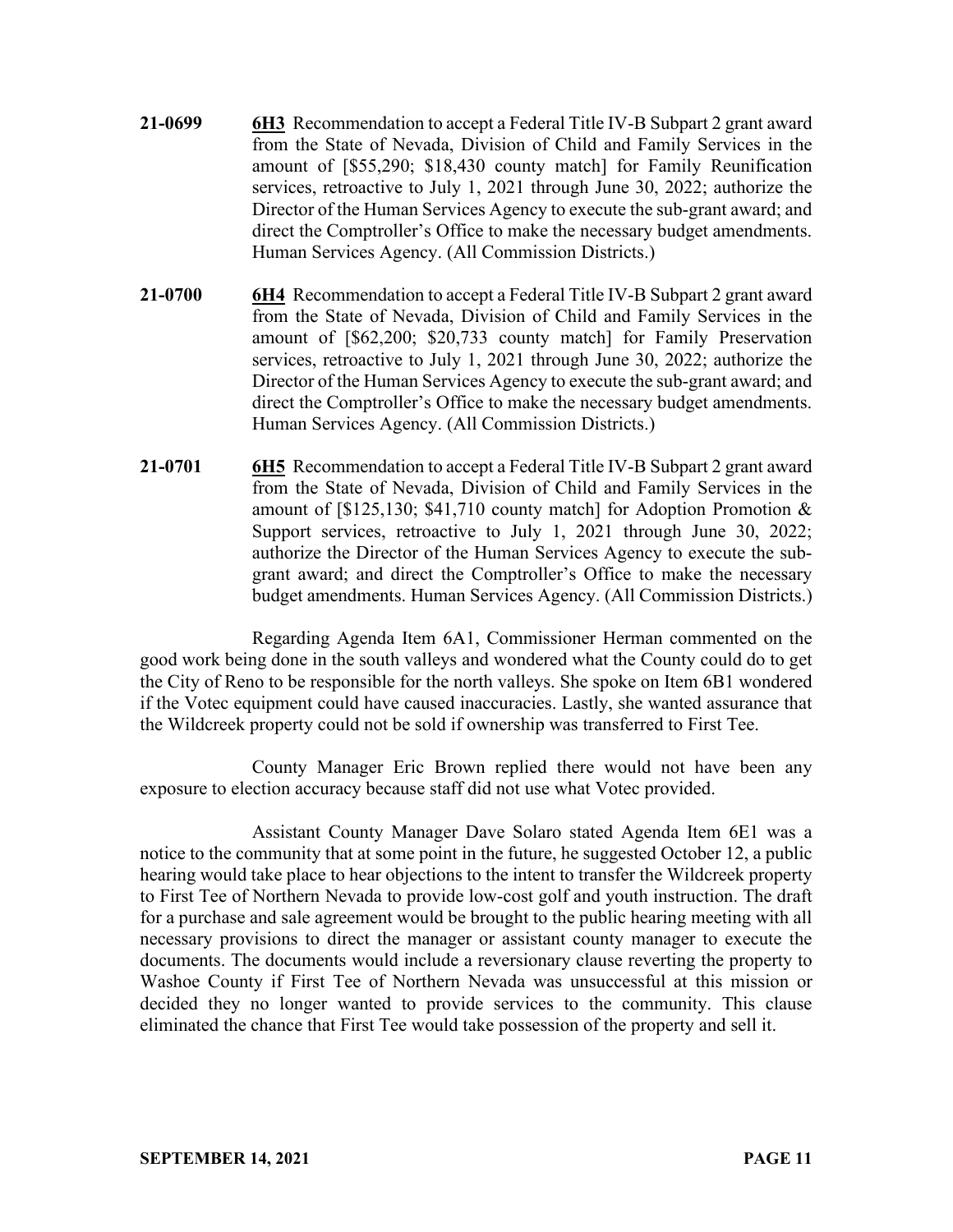- **21-0699 6H3** Recommendation to accept a Federal Title IV-B Subpart 2 grant award from the State of Nevada, Division of Child and Family Services in the amount of [\$55,290; \$18,430 county match] for Family Reunification services, retroactive to July 1, 2021 through June 30, 2022; authorize the Director of the Human Services Agency to execute the sub-grant award; and direct the Comptroller's Office to make the necessary budget amendments. Human Services Agency. (All Commission Districts.)
- **21-0700 6H4** Recommendation to accept a Federal Title IV-B Subpart 2 grant award from the State of Nevada, Division of Child and Family Services in the amount of [\$62,200; \$20,733 county match] for Family Preservation services, retroactive to July 1, 2021 through June 30, 2022; authorize the Director of the Human Services Agency to execute the sub-grant award; and direct the Comptroller's Office to make the necessary budget amendments. Human Services Agency. (All Commission Districts.)
- **21-0701 6H5** Recommendation to accept a Federal Title IV-B Subpart 2 grant award from the State of Nevada, Division of Child and Family Services in the amount of [\$125,130; \$41,710 county match] for Adoption Promotion & Support services, retroactive to July 1, 2021 through June 30, 2022; authorize the Director of the Human Services Agency to execute the subgrant award; and direct the Comptroller's Office to make the necessary budget amendments. Human Services Agency. (All Commission Districts.)

Regarding Agenda Item 6A1, Commissioner Herman commented on the good work being done in the south valleys and wondered what the County could do to get the City of Reno to be responsible for the north valleys. She spoke on Item 6B1 wondered if the Votec equipment could have caused inaccuracies. Lastly, she wanted assurance that the Wildcreek property could not be sold if ownership was transferred to First Tee.

County Manager Eric Brown replied there would not have been any exposure to election accuracy because staff did not use what Votec provided.

Assistant County Manager Dave Solaro stated Agenda Item 6E1 was a notice to the community that at some point in the future, he suggested October 12, a public hearing would take place to hear objections to the intent to transfer the Wildcreek property to First Tee of Northern Nevada to provide low-cost golf and youth instruction. The draft for a purchase and sale agreement would be brought to the public hearing meeting with all necessary provisions to direct the manager or assistant county manager to execute the documents. The documents would include a reversionary clause reverting the property to Washoe County if First Tee of Northern Nevada was unsuccessful at this mission or decided they no longer wanted to provide services to the community. This clause eliminated the chance that First Tee would take possession of the property and sell it.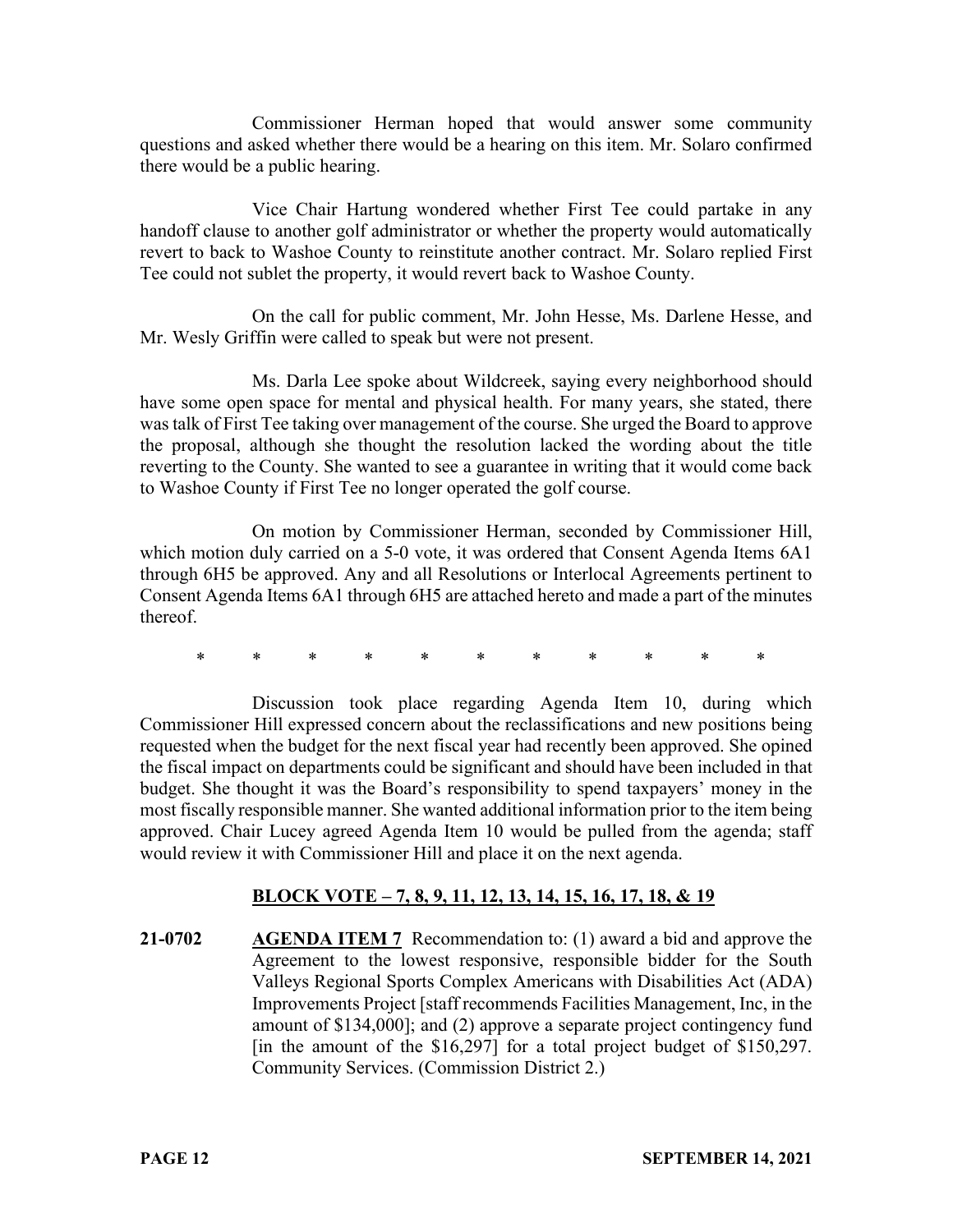Commissioner Herman hoped that would answer some community questions and asked whether there would be a hearing on this item. Mr. Solaro confirmed there would be a public hearing.

Vice Chair Hartung wondered whether First Tee could partake in any handoff clause to another golf administrator or whether the property would automatically revert to back to Washoe County to reinstitute another contract. Mr. Solaro replied First Tee could not sublet the property, it would revert back to Washoe County.

On the call for public comment, Mr. John Hesse, Ms. Darlene Hesse, and Mr. Wesly Griffin were called to speak but were not present.

Ms. Darla Lee spoke about Wildcreek, saying every neighborhood should have some open space for mental and physical health. For many years, she stated, there was talk of First Tee taking over management of the course. She urged the Board to approve the proposal, although she thought the resolution lacked the wording about the title reverting to the County. She wanted to see a guarantee in writing that it would come back to Washoe County if First Tee no longer operated the golf course.

On motion by Commissioner Herman, seconded by Commissioner Hill, which motion duly carried on a 5-0 vote, it was ordered that Consent Agenda Items 6A1 through 6H5 be approved. Any and all Resolutions or Interlocal Agreements pertinent to Consent Agenda Items 6A1 through 6H5 are attached hereto and made a part of the minutes thereof.

\* \* \* \* \* \* \* \* \* \* \*

Discussion took place regarding Agenda Item 10, during which Commissioner Hill expressed concern about the reclassifications and new positions being requested when the budget for the next fiscal year had recently been approved. She opined the fiscal impact on departments could be significant and should have been included in that budget. She thought it was the Board's responsibility to spend taxpayers' money in the most fiscally responsible manner. She wanted additional information prior to the item being approved. Chair Lucey agreed Agenda Item 10 would be pulled from the agenda; staff would review it with Commissioner Hill and place it on the next agenda.

# **BLOCK VOTE – 7, 8, 9, 11, 12, 13, 14, 15, 16, 17, 18, & 19**

**21-0702 AGENDA ITEM 7** Recommendation to: (1) award a bid and approve the Agreement to the lowest responsive, responsible bidder for the South Valleys Regional Sports Complex Americans with Disabilities Act (ADA) Improvements Project [staff recommends Facilities Management, Inc, in the amount of \$134,000]; and (2) approve a separate project contingency fund [in the amount of the \$16,297] for a total project budget of \$150,297. Community Services. (Commission District 2.)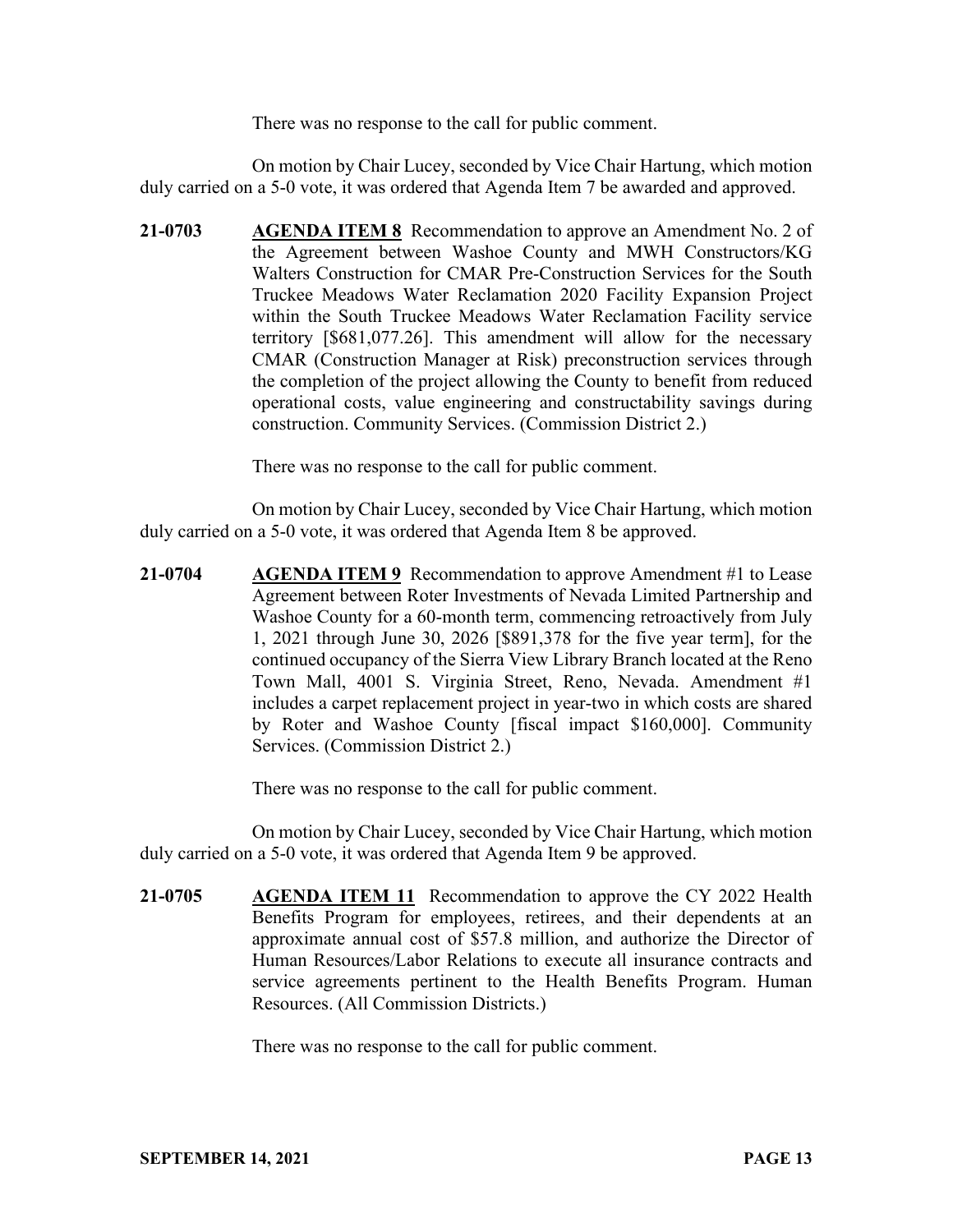There was no response to the call for public comment.

On motion by Chair Lucey, seconded by Vice Chair Hartung, which motion duly carried on a 5-0 vote, it was ordered that Agenda Item 7 be awarded and approved.

**21-0703 AGENDA ITEM 8** Recommendation to approve an Amendment No. 2 of the Agreement between Washoe County and MWH Constructors/KG Walters Construction for CMAR Pre-Construction Services for the South Truckee Meadows Water Reclamation 2020 Facility Expansion Project within the South Truckee Meadows Water Reclamation Facility service territory [\$681,077.26]. This amendment will allow for the necessary CMAR (Construction Manager at Risk) preconstruction services through the completion of the project allowing the County to benefit from reduced operational costs, value engineering and constructability savings during construction. Community Services. (Commission District 2.)

There was no response to the call for public comment.

On motion by Chair Lucey, seconded by Vice Chair Hartung, which motion duly carried on a 5-0 vote, it was ordered that Agenda Item 8 be approved.

**21-0704 AGENDA ITEM 9** Recommendation to approve Amendment #1 to Lease Agreement between Roter Investments of Nevada Limited Partnership and Washoe County for a 60-month term, commencing retroactively from July 1, 2021 through June 30, 2026 [\$891,378 for the five year term], for the continued occupancy of the Sierra View Library Branch located at the Reno Town Mall, 4001 S. Virginia Street, Reno, Nevada. Amendment #1 includes a carpet replacement project in year-two in which costs are shared by Roter and Washoe County [fiscal impact \$160,000]. Community Services. (Commission District 2.)

There was no response to the call for public comment.

On motion by Chair Lucey, seconded by Vice Chair Hartung, which motion duly carried on a 5-0 vote, it was ordered that Agenda Item 9 be approved.

**21-0705 AGENDA ITEM 11** Recommendation to approve the CY 2022 Health Benefits Program for employees, retirees, and their dependents at an approximate annual cost of \$57.8 million, and authorize the Director of Human Resources/Labor Relations to execute all insurance contracts and service agreements pertinent to the Health Benefits Program. Human Resources. (All Commission Districts.)

There was no response to the call for public comment.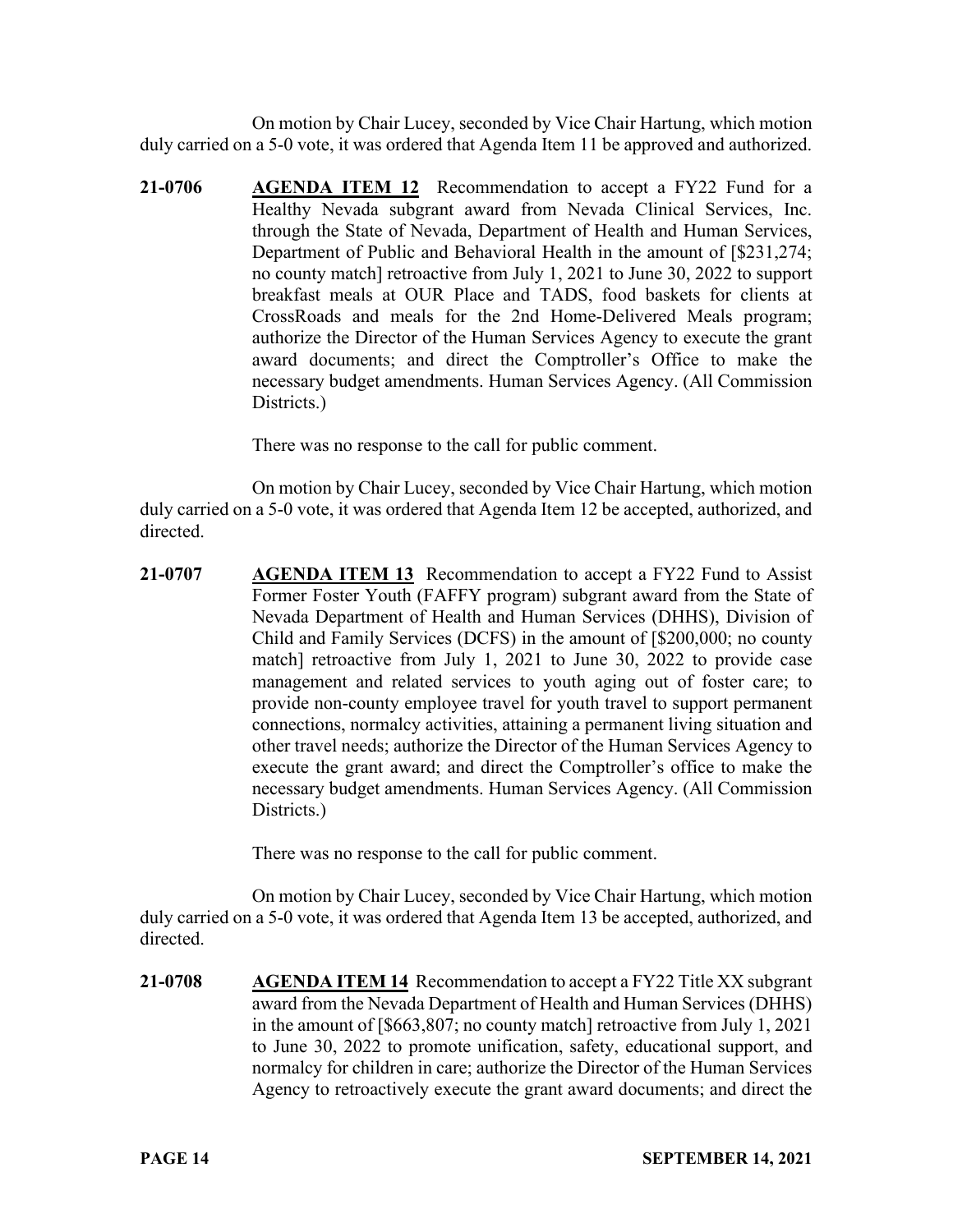On motion by Chair Lucey, seconded by Vice Chair Hartung, which motion duly carried on a 5-0 vote, it was ordered that Agenda Item 11 be approved and authorized.

**21-0706 AGENDA ITEM 12** Recommendation to accept a FY22 Fund for a Healthy Nevada subgrant award from Nevada Clinical Services, Inc. through the State of Nevada, Department of Health and Human Services, Department of Public and Behavioral Health in the amount of [\$231,274; no county match] retroactive from July 1, 2021 to June 30, 2022 to support breakfast meals at OUR Place and TADS, food baskets for clients at CrossRoads and meals for the 2nd Home-Delivered Meals program; authorize the Director of the Human Services Agency to execute the grant award documents; and direct the Comptroller's Office to make the necessary budget amendments. Human Services Agency. (All Commission Districts.)

There was no response to the call for public comment.

On motion by Chair Lucey, seconded by Vice Chair Hartung, which motion duly carried on a 5-0 vote, it was ordered that Agenda Item 12 be accepted, authorized, and directed.

**21-0707 AGENDA ITEM 13** Recommendation to accept a FY22 Fund to Assist Former Foster Youth (FAFFY program) subgrant award from the State of Nevada Department of Health and Human Services (DHHS), Division of Child and Family Services (DCFS) in the amount of [\$200,000; no county match] retroactive from July 1, 2021 to June 30, 2022 to provide case management and related services to youth aging out of foster care; to provide non-county employee travel for youth travel to support permanent connections, normalcy activities, attaining a permanent living situation and other travel needs; authorize the Director of the Human Services Agency to execute the grant award; and direct the Comptroller's office to make the necessary budget amendments. Human Services Agency. (All Commission Districts.)

There was no response to the call for public comment.

On motion by Chair Lucey, seconded by Vice Chair Hartung, which motion duly carried on a 5-0 vote, it was ordered that Agenda Item 13 be accepted, authorized, and directed.

**21-0708 AGENDA ITEM 14** Recommendation to accept a FY22 Title XX subgrant award from the Nevada Department of Health and Human Services (DHHS) in the amount of [\$663,807; no county match] retroactive from July 1, 2021 to June 30, 2022 to promote unification, safety, educational support, and normalcy for children in care; authorize the Director of the Human Services Agency to retroactively execute the grant award documents; and direct the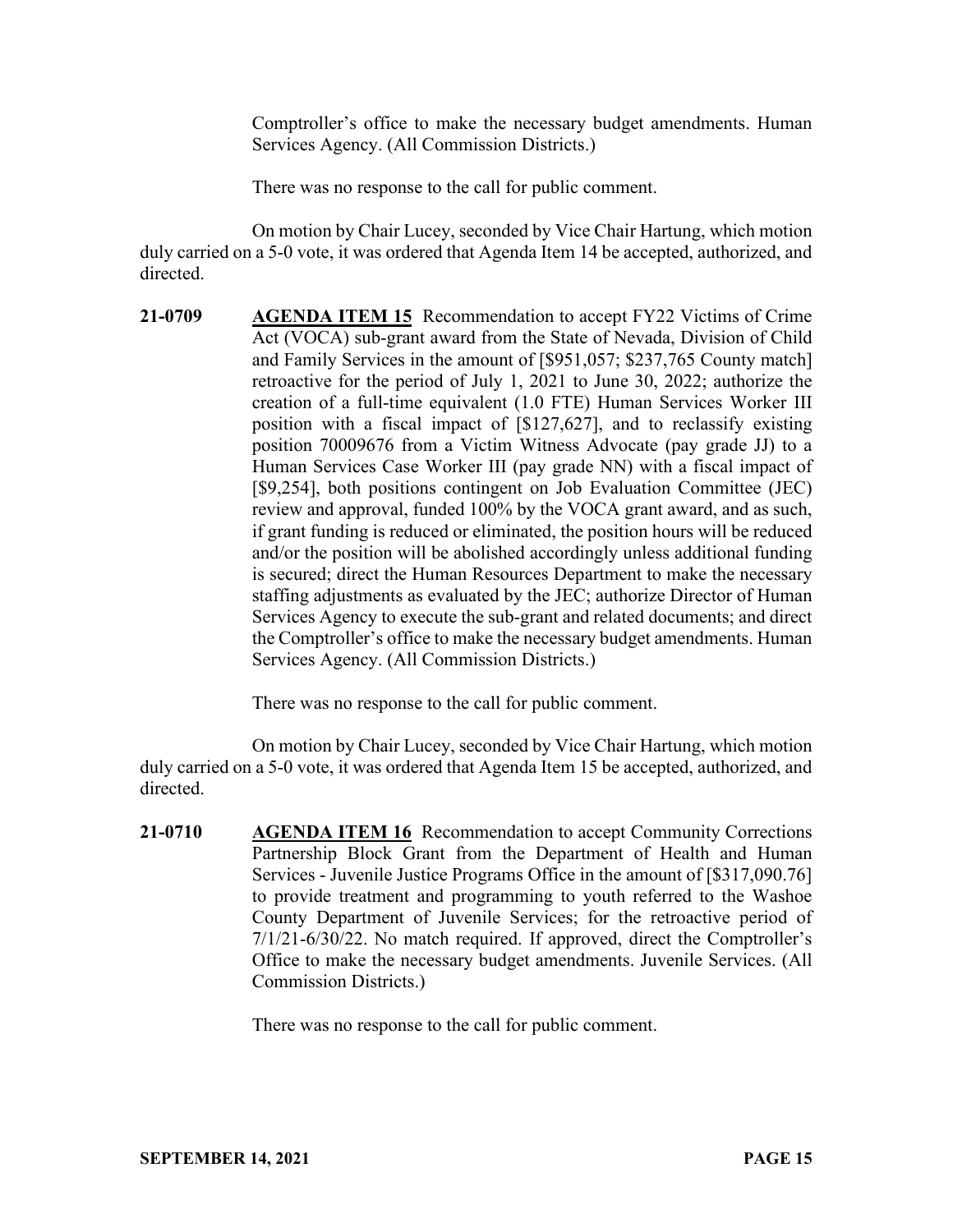Comptroller's office to make the necessary budget amendments. Human Services Agency. (All Commission Districts.)

There was no response to the call for public comment.

On motion by Chair Lucey, seconded by Vice Chair Hartung, which motion duly carried on a 5-0 vote, it was ordered that Agenda Item 14 be accepted, authorized, and directed.

**21-0709 AGENDA ITEM 15** Recommendation to accept FY22 Victims of Crime Act (VOCA) sub-grant award from the State of Nevada, Division of Child and Family Services in the amount of [\$951,057; \$237,765 County match] retroactive for the period of July 1, 2021 to June 30, 2022; authorize the creation of a full-time equivalent (1.0 FTE) Human Services Worker III position with a fiscal impact of [\$127,627], and to reclassify existing position 70009676 from a Victim Witness Advocate (pay grade JJ) to a Human Services Case Worker III (pay grade NN) with a fiscal impact of [\$9,254], both positions contingent on Job Evaluation Committee (JEC) review and approval, funded 100% by the VOCA grant award, and as such, if grant funding is reduced or eliminated, the position hours will be reduced and/or the position will be abolished accordingly unless additional funding is secured; direct the Human Resources Department to make the necessary staffing adjustments as evaluated by the JEC; authorize Director of Human Services Agency to execute the sub-grant and related documents; and direct the Comptroller's office to make the necessary budget amendments. Human Services Agency. (All Commission Districts.)

There was no response to the call for public comment.

On motion by Chair Lucey, seconded by Vice Chair Hartung, which motion duly carried on a 5-0 vote, it was ordered that Agenda Item 15 be accepted, authorized, and directed.

**21-0710 AGENDA ITEM 16** Recommendation to accept Community Corrections Partnership Block Grant from the Department of Health and Human Services - Juvenile Justice Programs Office in the amount of [\$317,090.76] to provide treatment and programming to youth referred to the Washoe County Department of Juvenile Services; for the retroactive period of 7/1/21-6/30/22. No match required. If approved, direct the Comptroller's Office to make the necessary budget amendments. Juvenile Services. (All Commission Districts.)

There was no response to the call for public comment.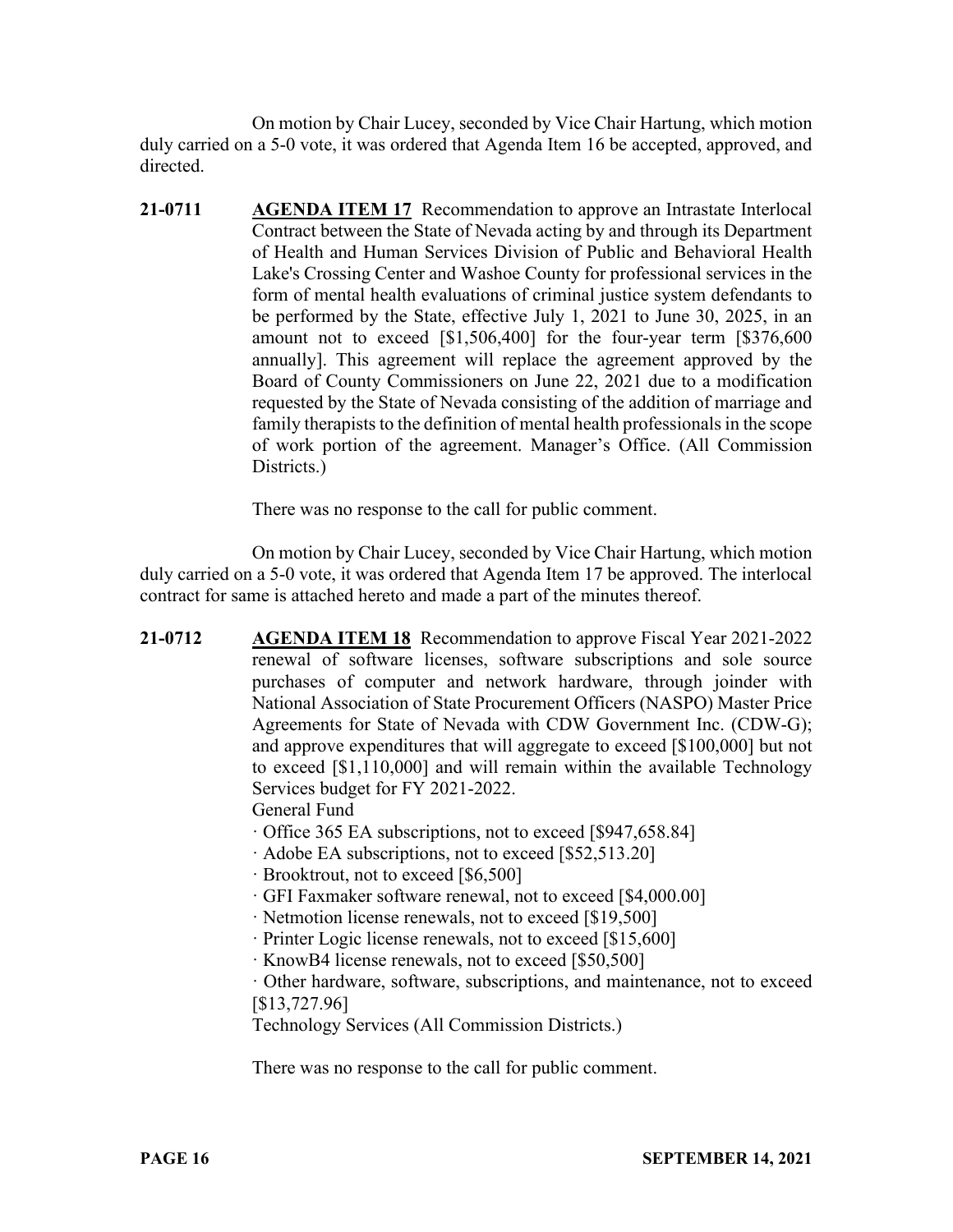On motion by Chair Lucey, seconded by Vice Chair Hartung, which motion duly carried on a 5-0 vote, it was ordered that Agenda Item 16 be accepted, approved, and directed.

**21-0711 AGENDA ITEM 17** Recommendation to approve an Intrastate Interlocal Contract between the State of Nevada acting by and through its Department of Health and Human Services Division of Public and Behavioral Health Lake's Crossing Center and Washoe County for professional services in the form of mental health evaluations of criminal justice system defendants to be performed by the State, effective July 1, 2021 to June 30, 2025, in an amount not to exceed [\$1,506,400] for the four-year term [\$376,600 annually]. This agreement will replace the agreement approved by the Board of County Commissioners on June 22, 2021 due to a modification requested by the State of Nevada consisting of the addition of marriage and family therapists to the definition of mental health professionals in the scope of work portion of the agreement. Manager's Office. (All Commission Districts.)

There was no response to the call for public comment.

On motion by Chair Lucey, seconded by Vice Chair Hartung, which motion duly carried on a 5-0 vote, it was ordered that Agenda Item 17 be approved. The interlocal contract for same is attached hereto and made a part of the minutes thereof.

**21-0712 AGENDA ITEM 18** Recommendation to approve Fiscal Year 2021-2022 renewal of software licenses, software subscriptions and sole source purchases of computer and network hardware, through joinder with National Association of State Procurement Officers (NASPO) Master Price Agreements for State of Nevada with CDW Government Inc. (CDW-G); and approve expenditures that will aggregate to exceed [\$100,000] but not to exceed [\$1,110,000] and will remain within the available Technology Services budget for FY 2021-2022.

General Fund

- · Office 365 EA subscriptions, not to exceed [\$947,658.84]
- · Adobe EA subscriptions, not to exceed [\$52,513.20]
- · Brooktrout, not to exceed [\$6,500]
- · GFI Faxmaker software renewal, not to exceed [\$4,000.00]
- · Netmotion license renewals, not to exceed [\$19,500]
- · Printer Logic license renewals, not to exceed [\$15,600]
- · KnowB4 license renewals, not to exceed [\$50,500]

· Other hardware, software, subscriptions, and maintenance, not to exceed [\$13,727.96]

Technology Services (All Commission Districts.)

There was no response to the call for public comment.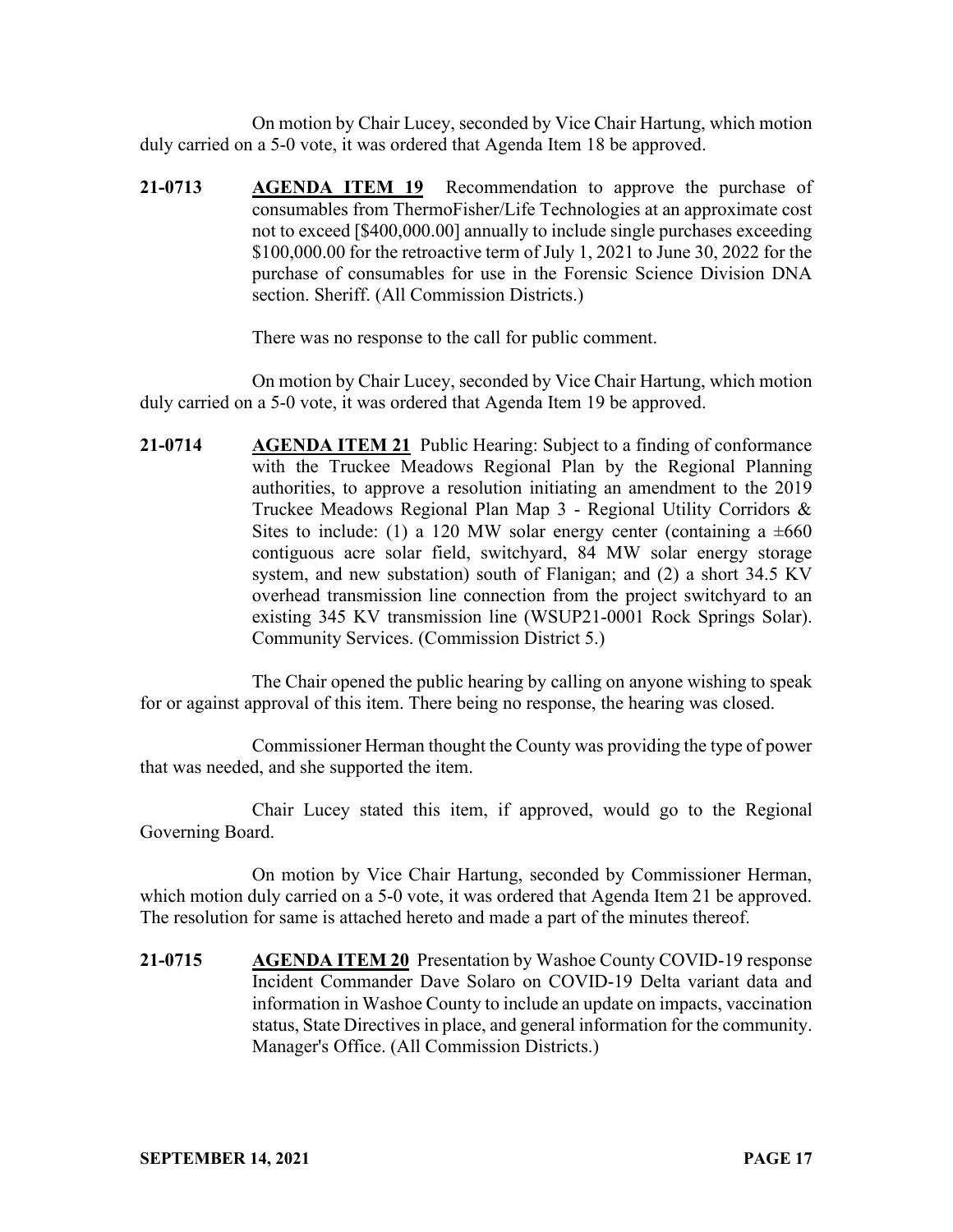On motion by Chair Lucey, seconded by Vice Chair Hartung, which motion duly carried on a 5-0 vote, it was ordered that Agenda Item 18 be approved.

**21-0713 AGENDA ITEM 19** Recommendation to approve the purchase of consumables from ThermoFisher/Life Technologies at an approximate cost not to exceed [\$400,000.00] annually to include single purchases exceeding \$100,000.00 for the retroactive term of July 1, 2021 to June 30, 2022 for the purchase of consumables for use in the Forensic Science Division DNA section. Sheriff. (All Commission Districts.)

There was no response to the call for public comment.

On motion by Chair Lucey, seconded by Vice Chair Hartung, which motion duly carried on a 5-0 vote, it was ordered that Agenda Item 19 be approved.

**21-0714 AGENDA ITEM 21** Public Hearing: Subject to a finding of conformance with the Truckee Meadows Regional Plan by the Regional Planning authorities, to approve a resolution initiating an amendment to the 2019 Truckee Meadows Regional Plan Map 3 - Regional Utility Corridors & Sites to include: (1) a 120 MW solar energy center (containing a  $\pm 660$ contiguous acre solar field, switchyard, 84 MW solar energy storage system, and new substation) south of Flanigan; and (2) a short 34.5 KV overhead transmission line connection from the project switchyard to an existing 345 KV transmission line (WSUP21-0001 Rock Springs Solar). Community Services. (Commission District 5.)

The Chair opened the public hearing by calling on anyone wishing to speak for or against approval of this item. There being no response, the hearing was closed.

Commissioner Herman thought the County was providing the type of power that was needed, and she supported the item.

Chair Lucey stated this item, if approved, would go to the Regional Governing Board.

On motion by Vice Chair Hartung, seconded by Commissioner Herman, which motion duly carried on a 5-0 vote, it was ordered that Agenda Item 21 be approved. The resolution for same is attached hereto and made a part of the minutes thereof.

**21-0715 AGENDA ITEM 20** Presentation by Washoe County COVID-19 response Incident Commander Dave Solaro on COVID-19 Delta variant data and information in Washoe County to include an update on impacts, vaccination status, State Directives in place, and general information for the community. Manager's Office. (All Commission Districts.)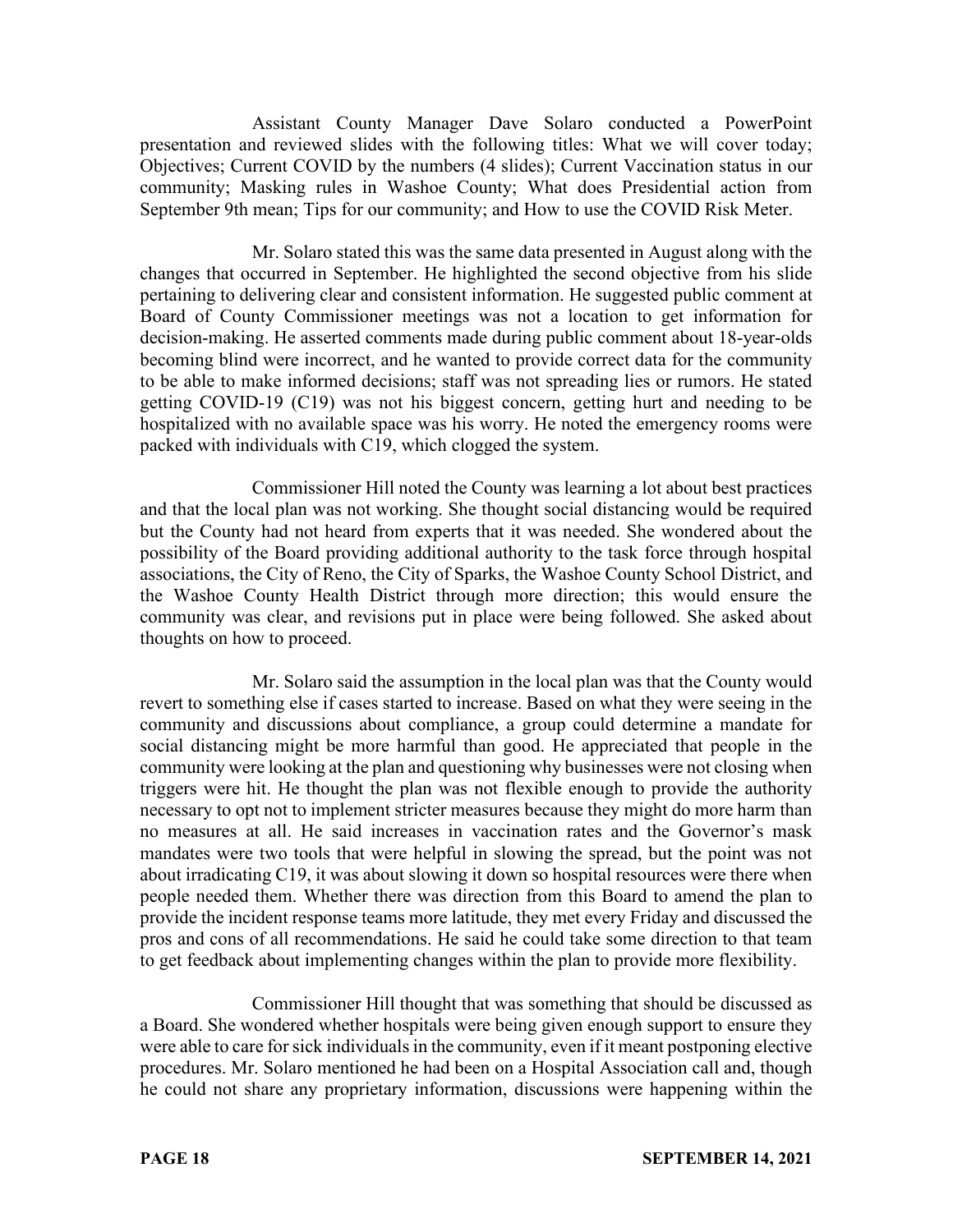Assistant County Manager Dave Solaro conducted a PowerPoint presentation and reviewed slides with the following titles: What we will cover today; Objectives; Current COVID by the numbers (4 slides); Current Vaccination status in our community; Masking rules in Washoe County; What does Presidential action from September 9th mean; Tips for our community; and How to use the COVID Risk Meter.

Mr. Solaro stated this was the same data presented in August along with the changes that occurred in September. He highlighted the second objective from his slide pertaining to delivering clear and consistent information. He suggested public comment at Board of County Commissioner meetings was not a location to get information for decision-making. He asserted comments made during public comment about 18-year-olds becoming blind were incorrect, and he wanted to provide correct data for the community to be able to make informed decisions; staff was not spreading lies or rumors. He stated getting COVID-19 (C19) was not his biggest concern, getting hurt and needing to be hospitalized with no available space was his worry. He noted the emergency rooms were packed with individuals with C19, which clogged the system.

Commissioner Hill noted the County was learning a lot about best practices and that the local plan was not working. She thought social distancing would be required but the County had not heard from experts that it was needed. She wondered about the possibility of the Board providing additional authority to the task force through hospital associations, the City of Reno, the City of Sparks, the Washoe County School District, and the Washoe County Health District through more direction; this would ensure the community was clear, and revisions put in place were being followed. She asked about thoughts on how to proceed.

Mr. Solaro said the assumption in the local plan was that the County would revert to something else if cases started to increase. Based on what they were seeing in the community and discussions about compliance, a group could determine a mandate for social distancing might be more harmful than good. He appreciated that people in the community were looking at the plan and questioning why businesses were not closing when triggers were hit. He thought the plan was not flexible enough to provide the authority necessary to opt not to implement stricter measures because they might do more harm than no measures at all. He said increases in vaccination rates and the Governor's mask mandates were two tools that were helpful in slowing the spread, but the point was not about irradicating C19, it was about slowing it down so hospital resources were there when people needed them. Whether there was direction from this Board to amend the plan to provide the incident response teams more latitude, they met every Friday and discussed the pros and cons of all recommendations. He said he could take some direction to that team to get feedback about implementing changes within the plan to provide more flexibility.

Commissioner Hill thought that was something that should be discussed as a Board. She wondered whether hospitals were being given enough support to ensure they were able to care for sick individuals in the community, even if it meant postponing elective procedures. Mr. Solaro mentioned he had been on a Hospital Association call and, though he could not share any proprietary information, discussions were happening within the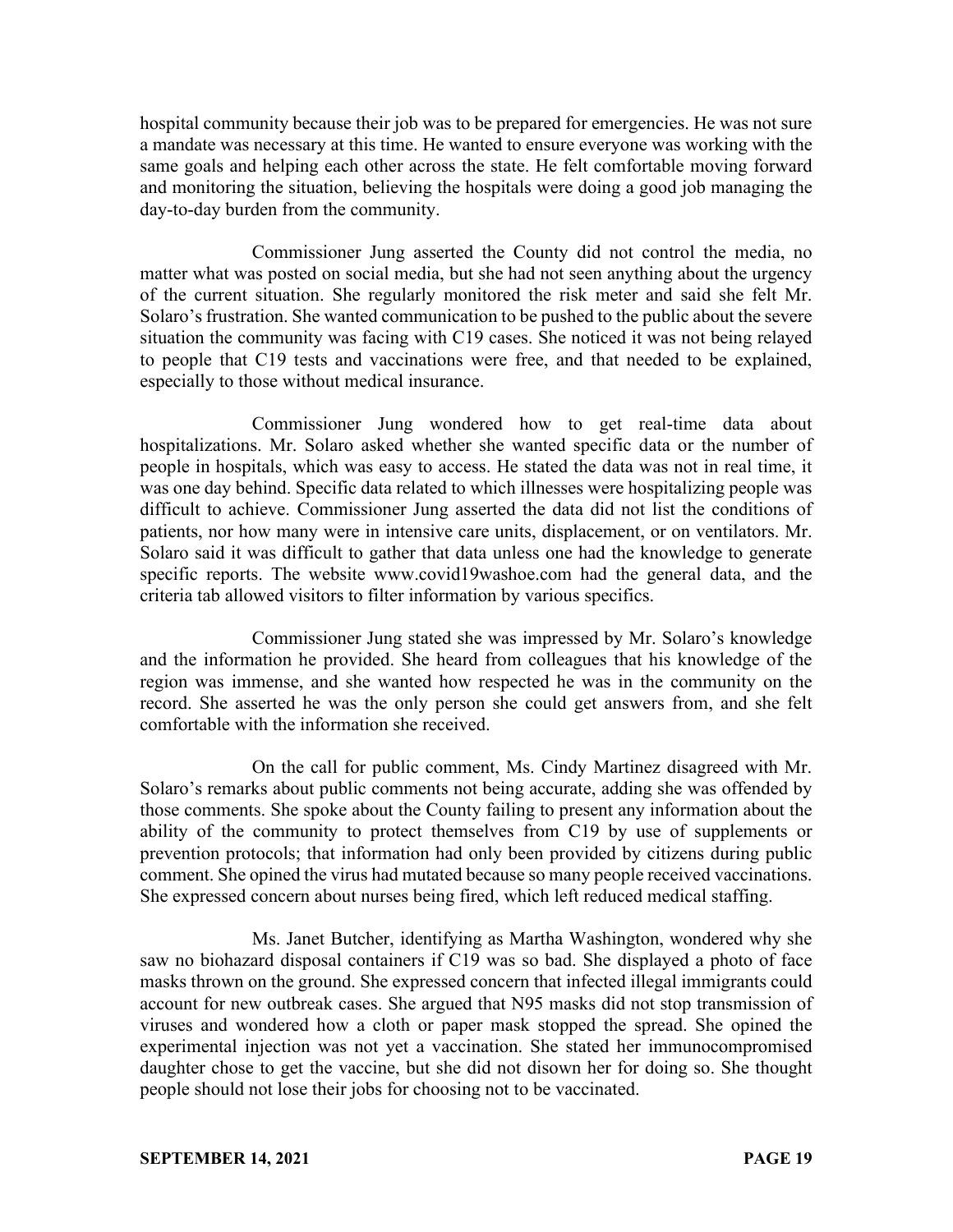hospital community because their job was to be prepared for emergencies. He was not sure a mandate was necessary at this time. He wanted to ensure everyone was working with the same goals and helping each other across the state. He felt comfortable moving forward and monitoring the situation, believing the hospitals were doing a good job managing the day-to-day burden from the community.

Commissioner Jung asserted the County did not control the media, no matter what was posted on social media, but she had not seen anything about the urgency of the current situation. She regularly monitored the risk meter and said she felt Mr. Solaro's frustration. She wanted communication to be pushed to the public about the severe situation the community was facing with C19 cases. She noticed it was not being relayed to people that C19 tests and vaccinations were free, and that needed to be explained, especially to those without medical insurance.

Commissioner Jung wondered how to get real-time data about hospitalizations. Mr. Solaro asked whether she wanted specific data or the number of people in hospitals, which was easy to access. He stated the data was not in real time, it was one day behind. Specific data related to which illnesses were hospitalizing people was difficult to achieve. Commissioner Jung asserted the data did not list the conditions of patients, nor how many were in intensive care units, displacement, or on ventilators. Mr. Solaro said it was difficult to gather that data unless one had the knowledge to generate specific reports. The website www.covid19washoe.com had the general data, and the criteria tab allowed visitors to filter information by various specifics.

Commissioner Jung stated she was impressed by Mr. Solaro's knowledge and the information he provided. She heard from colleagues that his knowledge of the region was immense, and she wanted how respected he was in the community on the record. She asserted he was the only person she could get answers from, and she felt comfortable with the information she received.

On the call for public comment, Ms. Cindy Martinez disagreed with Mr. Solaro's remarks about public comments not being accurate, adding she was offended by those comments. She spoke about the County failing to present any information about the ability of the community to protect themselves from C19 by use of supplements or prevention protocols; that information had only been provided by citizens during public comment. She opined the virus had mutated because so many people received vaccinations. She expressed concern about nurses being fired, which left reduced medical staffing.

Ms. Janet Butcher, identifying as Martha Washington, wondered why she saw no biohazard disposal containers if C19 was so bad. She displayed a photo of face masks thrown on the ground. She expressed concern that infected illegal immigrants could account for new outbreak cases. She argued that N95 masks did not stop transmission of viruses and wondered how a cloth or paper mask stopped the spread. She opined the experimental injection was not yet a vaccination. She stated her immunocompromised daughter chose to get the vaccine, but she did not disown her for doing so. She thought people should not lose their jobs for choosing not to be vaccinated.